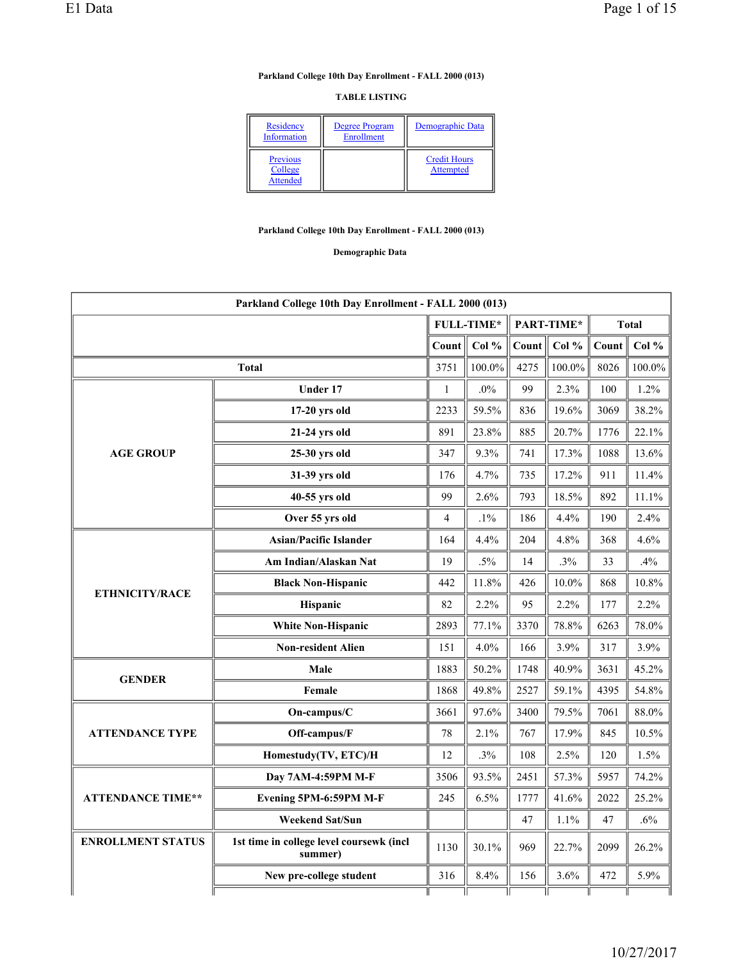### **Parkland College 10th Day Enrollment - FALL 2000 (013)**

### **TABLE LISTING**

| Residency<br>Information               | Degree Program<br>Enrollment | Demographic Data                 |
|----------------------------------------|------------------------------|----------------------------------|
| Previous<br>College<br><b>Attended</b> |                              | <b>Credit Hours</b><br>Attempted |

### **Parkland College 10th Day Enrollment - FALL 2000 (013)**

**Demographic Data** 

|                          | Parkland College 10th Day Enrollment - FALL 2000 (013)                                                                                                                                                                                                                                                                                                                                                                                                                                                                                                                                                                                                                                                       |       |        |       |        |                                                                                                                                                                |         |
|--------------------------|--------------------------------------------------------------------------------------------------------------------------------------------------------------------------------------------------------------------------------------------------------------------------------------------------------------------------------------------------------------------------------------------------------------------------------------------------------------------------------------------------------------------------------------------------------------------------------------------------------------------------------------------------------------------------------------------------------------|-------|--------|-------|--------|----------------------------------------------------------------------------------------------------------------------------------------------------------------|---------|
|                          |                                                                                                                                                                                                                                                                                                                                                                                                                                                                                                                                                                                                                                                                                                              |       |        |       |        |                                                                                                                                                                |         |
|                          |                                                                                                                                                                                                                                                                                                                                                                                                                                                                                                                                                                                                                                                                                                              | Count | Col %  | Count | Col %  | Count                                                                                                                                                          | Col $%$ |
|                          | <b>Total</b>                                                                                                                                                                                                                                                                                                                                                                                                                                                                                                                                                                                                                                                                                                 | 3751  | 100.0% | 4275  | 100.0% | 8026                                                                                                                                                           | 100.0%  |
|                          | Under 17                                                                                                                                                                                                                                                                                                                                                                                                                                                                                                                                                                                                                                                                                                     | 1     | $.0\%$ | 99    | 2.3%   | 100                                                                                                                                                            | 1.2%    |
|                          | 17-20 yrs old                                                                                                                                                                                                                                                                                                                                                                                                                                                                                                                                                                                                                                                                                                | 2233  | 59.5%  | 836   | 19.6%  | 3069                                                                                                                                                           | 38.2%   |
|                          | 21-24 yrs old                                                                                                                                                                                                                                                                                                                                                                                                                                                                                                                                                                                                                                                                                                | 891   | 23.8%  | 885   | 20.7%  | 1776                                                                                                                                                           | 22.1%   |
| <b>AGE GROUP</b>         | 25-30 yrs old                                                                                                                                                                                                                                                                                                                                                                                                                                                                                                                                                                                                                                                                                                | 347   | 9.3%   | 741   | 17.3%  | <b>Total</b><br>1088<br>911<br>892<br>190<br>368<br>33<br>868<br>177<br>6263<br>317<br>3631<br>4395<br>7061<br>845<br>120<br>5957<br>2022<br>47<br>2099<br>472 | 13.6%   |
|                          | 4.7%<br>17.2%<br>31-39 yrs old<br>176<br>735<br>99<br>18.5%<br>40-55 yrs old<br>2.6%<br>793<br>$.1\%$<br>4.4%<br>Over 55 yrs old<br>$\overline{4}$<br>186<br><b>Asian/Pacific Islander</b><br>164<br>4.4%<br>204<br>4.8%<br>Am Indian/Alaskan Nat<br>19<br>$.5\%$<br>14<br>.3%<br>.4%<br>11.8%<br>$10.0\%$<br><b>Black Non-Hispanic</b><br>442<br>426<br>Hispanic<br>82<br>2.2%<br>95<br>2.2%<br>78.8%<br><b>White Non-Hispanic</b><br>2893<br>77.1%<br>3370<br><b>Non-resident Alien</b><br>4.0%<br>3.9%<br>151<br>166<br>1883<br>50.2%<br>40.9%<br>Male<br>1748<br>49.8%<br>59.1%<br>Female<br>1868<br>2527<br>97.6%<br>79.5%<br>On-campus/C<br>3400<br>3661<br>2.1%<br>17.9%<br>Off-campus/F<br>78<br>767 | 11.4% |        |       |        |                                                                                                                                                                |         |
|                          |                                                                                                                                                                                                                                                                                                                                                                                                                                                                                                                                                                                                                                                                                                              |       | 11.1%  |       |        |                                                                                                                                                                |         |
|                          |                                                                                                                                                                                                                                                                                                                                                                                                                                                                                                                                                                                                                                                                                                              |       |        |       |        |                                                                                                                                                                | 2.4%    |
|                          |                                                                                                                                                                                                                                                                                                                                                                                                                                                                                                                                                                                                                                                                                                              |       |        |       |        |                                                                                                                                                                | 4.6%    |
|                          |                                                                                                                                                                                                                                                                                                                                                                                                                                                                                                                                                                                                                                                                                                              |       |        |       |        |                                                                                                                                                                |         |
| <b>ETHNICITY/RACE</b>    |                                                                                                                                                                                                                                                                                                                                                                                                                                                                                                                                                                                                                                                                                                              |       |        |       |        |                                                                                                                                                                | 10.8%   |
|                          |                                                                                                                                                                                                                                                                                                                                                                                                                                                                                                                                                                                                                                                                                                              |       |        |       |        |                                                                                                                                                                | 2.2%    |
|                          | Homestudy(TV, ETC)/H<br>Day 7AM-4:59PM M-F<br>Evening 5PM-6:59PM M-F<br><b>Weekend Sat/Sun</b><br>1st time in college level coursewk (incl<br>summer)<br>New pre-college student                                                                                                                                                                                                                                                                                                                                                                                                                                                                                                                             |       |        |       |        |                                                                                                                                                                | 78.0%   |
|                          | FULL-TIME*<br>PART-TIME*<br>.3%<br>108<br>2.5%<br>12<br>93.5%<br>57.3%<br>3506<br>2451<br>245<br>6.5%<br>1777<br>41.6%<br>1.1%<br>47<br>30.1%<br>969<br>1130<br>22.7%<br>316<br>8.4%<br>156<br>3.6%                                                                                                                                                                                                                                                                                                                                                                                                                                                                                                          |       | 3.9%   |       |        |                                                                                                                                                                |         |
| <b>GENDER</b>            |                                                                                                                                                                                                                                                                                                                                                                                                                                                                                                                                                                                                                                                                                                              |       |        |       |        |                                                                                                                                                                | 45.2%   |
|                          |                                                                                                                                                                                                                                                                                                                                                                                                                                                                                                                                                                                                                                                                                                              |       |        |       |        |                                                                                                                                                                | 54.8%   |
|                          |                                                                                                                                                                                                                                                                                                                                                                                                                                                                                                                                                                                                                                                                                                              |       |        |       |        |                                                                                                                                                                | 88.0%   |
| <b>ATTENDANCE TYPE</b>   |                                                                                                                                                                                                                                                                                                                                                                                                                                                                                                                                                                                                                                                                                                              |       |        |       |        |                                                                                                                                                                | 10.5%   |
|                          |                                                                                                                                                                                                                                                                                                                                                                                                                                                                                                                                                                                                                                                                                                              |       |        |       |        |                                                                                                                                                                | 1.5%    |
|                          |                                                                                                                                                                                                                                                                                                                                                                                                                                                                                                                                                                                                                                                                                                              |       |        |       |        |                                                                                                                                                                | 74.2%   |
| <b>ATTENDANCE TIME**</b> |                                                                                                                                                                                                                                                                                                                                                                                                                                                                                                                                                                                                                                                                                                              |       |        |       |        |                                                                                                                                                                | 25.2%   |
|                          |                                                                                                                                                                                                                                                                                                                                                                                                                                                                                                                                                                                                                                                                                                              |       |        |       |        |                                                                                                                                                                | .6%     |
| <b>ENROLLMENT STATUS</b> |                                                                                                                                                                                                                                                                                                                                                                                                                                                                                                                                                                                                                                                                                                              |       |        |       |        |                                                                                                                                                                | 26.2%   |
|                          |                                                                                                                                                                                                                                                                                                                                                                                                                                                                                                                                                                                                                                                                                                              |       |        |       |        |                                                                                                                                                                | 5.9%    |
|                          |                                                                                                                                                                                                                                                                                                                                                                                                                                                                                                                                                                                                                                                                                                              |       |        |       |        |                                                                                                                                                                |         |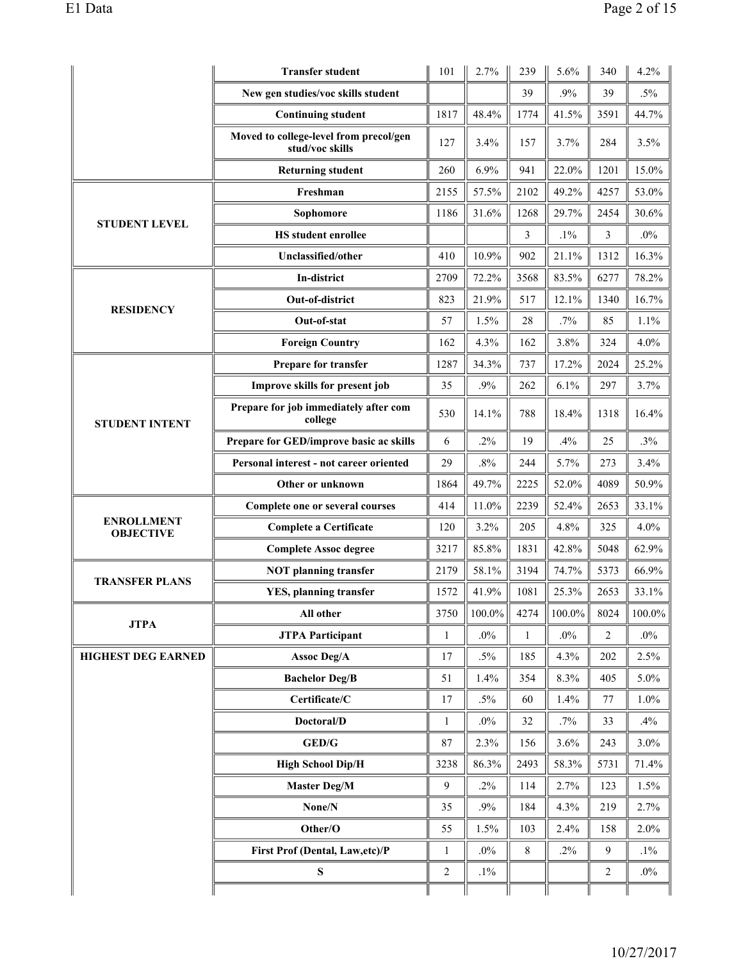|                                       | <b>Transfer student</b>                                   | 101          | 2.7%      | 239          | 5.6%      | 340  | 4.2%   |
|---------------------------------------|-----------------------------------------------------------|--------------|-----------|--------------|-----------|------|--------|
|                                       | New gen studies/voc skills student                        |              |           | 39           | .9%       | 39   | $.5\%$ |
|                                       | <b>Continuing student</b>                                 | 1817         | 48.4%     | 1774         | 41.5%     | 3591 | 44.7%  |
|                                       | Moved to college-level from precol/gen<br>stud/voc skills | 127          | 3.4%      | 157          | 3.7%      | 284  | 3.5%   |
|                                       | <b>Returning student</b>                                  | 260          | 6.9%      | 941          | 22.0%     | 1201 | 15.0%  |
|                                       | Freshman                                                  | 2155         | 57.5%     | 2102         | 49.2%     | 4257 | 53.0%  |
| <b>STUDENT LEVEL</b>                  | Sophomore                                                 | 1186         | 31.6%     | 1268         | 29.7%     | 2454 | 30.6%  |
|                                       | <b>HS</b> student enrollee                                |              |           | 3            | $.1\%$    | 3    | $.0\%$ |
|                                       | Unclassified/other                                        | 410          | 10.9%     | 902          | 21.1%     | 1312 | 16.3%  |
|                                       | In-district                                               | 2709         | 72.2%     | 3568         | 83.5%     | 6277 | 78.2%  |
| <b>RESIDENCY</b>                      | Out-of-district                                           | 823          | 21.9%     | 517          | 12.1%     | 1340 | 16.7%  |
|                                       | Out-of-stat                                               | 57           | 1.5%      | 28           | .7%       | 85   | 1.1%   |
|                                       | <b>Foreign Country</b>                                    | 162          | 4.3%      | 162          | 3.8%      | 324  | 4.0%   |
|                                       | Prepare for transfer                                      | 1287         | 34.3%     | 737          | 17.2%     | 2024 | 25.2%  |
|                                       | Improve skills for present job                            | 35           | .9%       | 262          | 6.1%      | 297  | 3.7%   |
| <b>STUDENT INTENT</b>                 | Prepare for job immediately after com<br>college          | 530          | 14.1%     | 788          | 18.4%     | 1318 | 16.4%  |
|                                       | Prepare for GED/improve basic ac skills                   | 6            | $.2\%$    | 19           | .4%       | 25   | .3%    |
|                                       | Personal interest - not career oriented                   | 29           | .8%       | 244          | 5.7%      | 273  | 3.4%   |
|                                       | Other or unknown                                          |              | 49.7%     | 2225         | 52.0%     | 4089 | 50.9%  |
|                                       | Complete one or several courses                           | 414          | 11.0%     | 2239         | 52.4%     | 2653 | 33.1%  |
| <b>ENROLLMENT</b><br><b>OBJECTIVE</b> | <b>Complete a Certificate</b>                             |              | 3.2%      | 205          | 4.8%      | 325  | 4.0%   |
|                                       | <b>Complete Assoc degree</b>                              | 3217         | 85.8%     | 1831         | 42.8%     | 5048 | 62.9%  |
| <b>TRANSFER PLANS</b>                 | <b>NOT</b> planning transfer                              | 2179         | 58.1%     | 3194         | 74.7%     | 5373 | 66.9%  |
|                                       | <b>YES</b> , planning transfer                            | 1572         | 41.9%     | 1081         | 25.3%     | 2653 | 33.1%  |
| <b>JTPA</b>                           | All other                                                 | 3750         | $100.0\%$ | 4274         | $100.0\%$ | 8024 | 100.0% |
|                                       | <b>JTPA Participant</b>                                   | $\mathbf{1}$ | $.0\%$    | $\mathbf{1}$ | $.0\%$    | 2    | $.0\%$ |
| <b>HIGHEST DEG EARNED</b>             | <b>Assoc Deg/A</b>                                        | 17           | $.5\%$    | 185          | 4.3%      | 202  | 2.5%   |
|                                       | <b>Bachelor Deg/B</b>                                     | 51           | 1.4%      | 354          | 8.3%      | 405  | 5.0%   |
|                                       | $\operatorname{\bf{Certificate}}\nolimits/C$              | 17           | $.5\%$    | 60           | 1.4%      | 77   | 1.0%   |
|                                       | Doctoral/D                                                | $\mathbf{1}$ | $.0\%$    | 32           | .7%       | 33   | .4%    |
|                                       | GED/G                                                     | $\bf 87$     | 2.3%      | 156          | 3.6%      | 243  | 3.0%   |
|                                       | <b>High School Dip/H</b>                                  | 3238         | 86.3%     | 2493         | 58.3%     | 5731 | 71.4%  |
|                                       | <b>Master Deg/M</b>                                       | 9            | $.2\%$    | 114          | 2.7%      | 123  | 1.5%   |
|                                       | None/N                                                    | 35           | .9%       | 184          | 4.3%      | 219  | 2.7%   |
|                                       | Other/O                                                   | 55           | 1.5%      | 103          | 2.4%      | 158  | 2.0%   |
|                                       | First Prof (Dental, Law, etc)/P                           | 1            | $.0\%$    | 8            | .2%       | 9    | $.1\%$ |
|                                       | S                                                         | $\sqrt{2}$   | $.1\%$    |              |           | 2    | $.0\%$ |
|                                       |                                                           |              |           |              |           |      |        |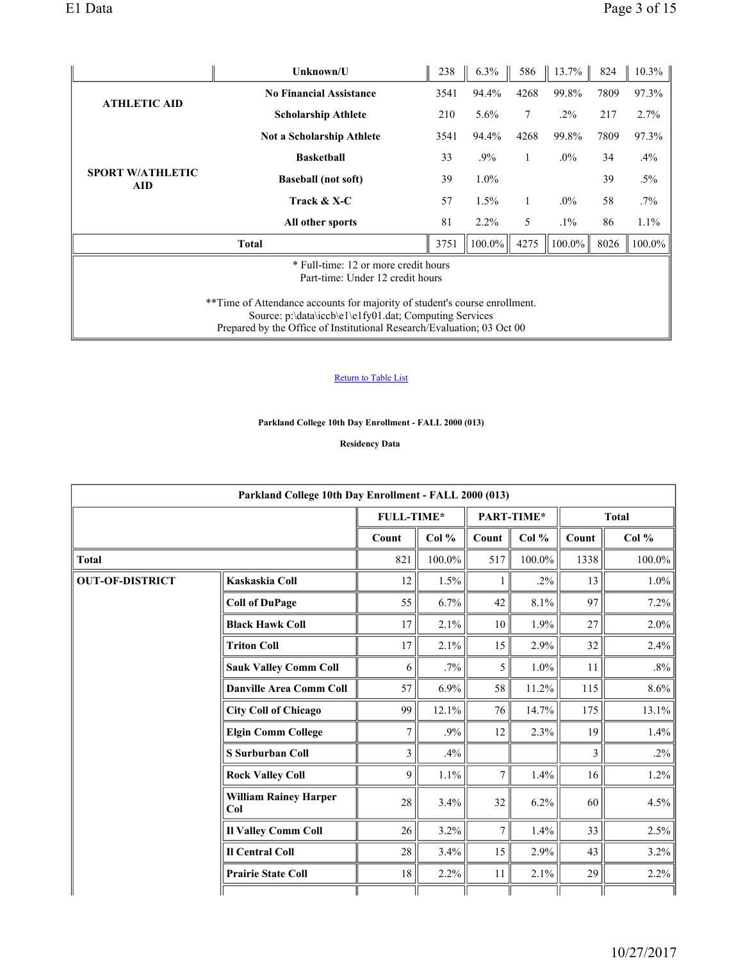|                                                                                                                                                                                                                | Unknown/U                        | 238  | 6.3%    | 586  | 13.7%  | 824  | $10.3\%$ |  |  |
|----------------------------------------------------------------------------------------------------------------------------------------------------------------------------------------------------------------|----------------------------------|------|---------|------|--------|------|----------|--|--|
| <b>ATHLETIC AID</b>                                                                                                                                                                                            | <b>No Financial Assistance</b>   | 3541 | 94.4%   | 4268 | 99.8%  | 7809 | 97.3%    |  |  |
|                                                                                                                                                                                                                | <b>Scholarship Athlete</b>       | 210  | 5.6%    | 7    | $.2\%$ | 217  | 2.7%     |  |  |
|                                                                                                                                                                                                                | <b>Not a Scholarship Athlete</b> | 3541 | 94.4%   | 4268 | 99.8%  | 7809 | 97.3%    |  |  |
|                                                                                                                                                                                                                | <b>Basketball</b>                | 33   | $.9\%$  | 1    | $.0\%$ | 34   | $.4\%$   |  |  |
| <b>SPORT W/ATHLETIC</b><br>AID                                                                                                                                                                                 | <b>Baseball</b> (not soft)       | 39   | $1.0\%$ |      |        | 39   | $.5\%$   |  |  |
|                                                                                                                                                                                                                | Track & X-C                      | 57   | 1.5%    |      | $.0\%$ | 58   | $.7\%$   |  |  |
|                                                                                                                                                                                                                | All other sports                 | 81   | $2.2\%$ | 5    | $.1\%$ | 86   | 1.1%     |  |  |
|                                                                                                                                                                                                                | <b>Total</b>                     | 3751 | 100.0%  | 4275 | 100.0% | 8026 | 100.0%   |  |  |
| * Full-time: 12 or more credit hours<br>Part-time: Under 12 credit hours                                                                                                                                       |                                  |      |         |      |        |      |          |  |  |
| **Time of Attendance accounts for majority of student's course enrollment.<br>Source: p:\data\iccb\e1\e1fy01.dat; Computing Services<br>Prepared by the Office of Institutional Research/Evaluation; 03 Oct 00 |                                  |      |         |      |        |      |          |  |  |

# Return to Table List

# **Parkland College 10th Day Enrollment - FALL 2000 (013)**

**Residency Data** 

|                        | Parkland College 10th Day Enrollment - FALL 2000 (013) |                |         |                |            |       |              |
|------------------------|--------------------------------------------------------|----------------|---------|----------------|------------|-------|--------------|
|                        |                                                        | FULL-TIME*     |         |                | PART-TIME* |       | <b>Total</b> |
|                        |                                                        | Count          | Col $%$ | Count          | Col %      | Count | Col %        |
| <b>Total</b>           |                                                        | 821            | 100.0%  | 517            | 100.0%     | 1338  | $100.0\%$    |
| <b>OUT-OF-DISTRICT</b> | Kaskaskia Coll                                         | 12             | 1.5%    | 1              | $.2\%$     | 13    | $1.0\%$      |
|                        | <b>Coll of DuPage</b>                                  | 55             | 6.7%    | 42             | 8.1%       | 97    | 7.2%         |
|                        | <b>Black Hawk Coll</b>                                 | 17             | 2.1%    | 10             | 1.9%       | 27    | $2.0\%$      |
|                        | <b>Triton Coll</b>                                     | 17             | 2.1%    | 15             | 2.9%       | 32    | 2.4%         |
|                        | <b>Sauk Valley Comm Coll</b>                           | 6              | .7%     | 5              | $1.0\%$    | 11    | $.8\%$       |
|                        | <b>Danville Area Comm Coll</b>                         | 57             | 6.9%    | 58             | 11.2%      | 115   | $8.6\%$      |
|                        | <b>City Coll of Chicago</b>                            | 99             | 12.1%   | 76             | 14.7%      | 175   | $13.1\%$     |
|                        | <b>Elgin Comm College</b>                              | 7              | .9%     | 12             | 2.3%       | 19    | $1.4\%$      |
|                        | S Surburban Coll                                       | $\overline{3}$ | .4%     |                |            | 3     | $.2\%$       |
|                        | <b>Rock Valley Coll</b>                                | 9              | $1.1\%$ | $\tau$         | 1.4%       | 16    | $1.2\%$      |
|                        | <b>William Rainey Harper</b><br>Col                    | 28             | 3.4%    | 32             | 6.2%       | 60    | 4.5%         |
|                        | <b>Il Valley Comm Coll</b>                             | 26             | 3.2%    | $\overline{7}$ | 1.4%       | 33    | 2.5%         |
|                        | <b>Il Central Coll</b>                                 | 28             | 3.4%    | 15             | 2.9%       | 43    | $3.2\%$      |
|                        | <b>Prairie State Coll</b>                              | 18             | 2.2%    | 11             | 2.1%       | 29    | 2.2%         |
|                        |                                                        |                |         |                |            |       |              |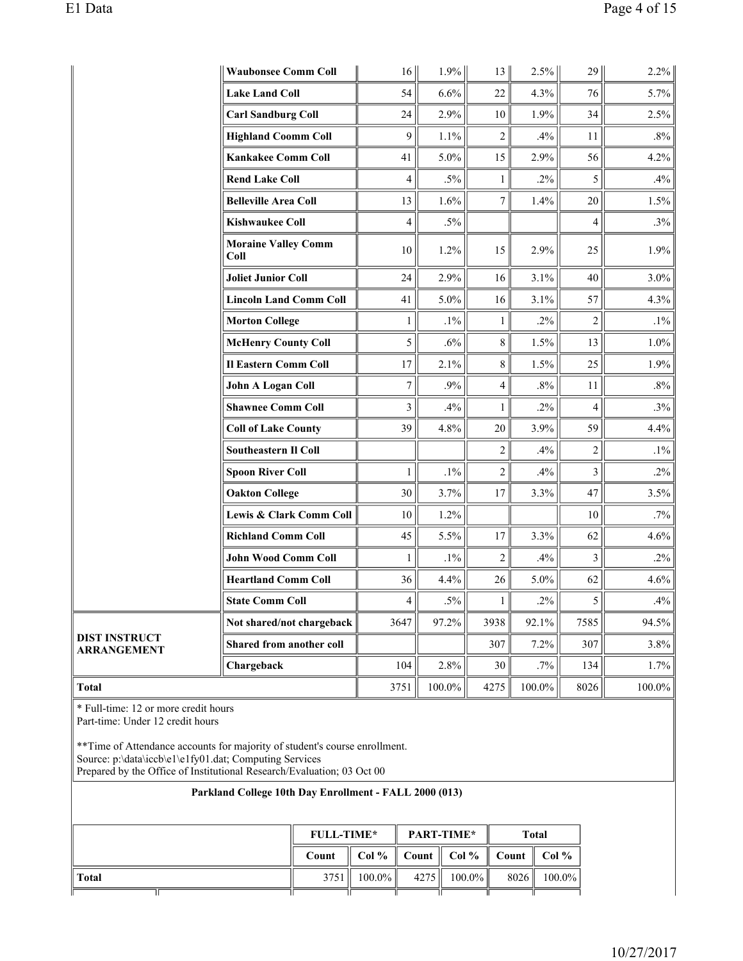|                                     | <b>Waubonsee Comm Coll</b>         | 16 <sup>1</sup>          | $1.9\%$ | 13 <sup>  </sup> | $2.5\%$ | 29             | 2.2%      |
|-------------------------------------|------------------------------------|--------------------------|---------|------------------|---------|----------------|-----------|
|                                     | <b>Lake Land Coll</b>              | 54                       | 6.6%    | 22               | 4.3%    | 76             | 5.7%      |
|                                     | <b>Carl Sandburg Coll</b>          | 24                       | 2.9%    | 10               | 1.9%    | 34             | 2.5%      |
|                                     | <b>Highland Coomm Coll</b>         | 9                        | 1.1%    | $\overline{2}$   | .4%     | 11             | $.8\%$    |
|                                     | <b>Kankakee Comm Coll</b>          | 41                       | 5.0%    | 15               | 2.9%    | 56             | 4.2%      |
|                                     | <b>Rend Lake Coll</b>              | $\overline{\mathcal{L}}$ | $.5\%$  | $\mathbf{1}$     | $.2\%$  | 5              | .4%       |
|                                     | <b>Belleville Area Coll</b>        | 13                       | 1.6%    | $\overline{7}$   | 1.4%    | 20             | 1.5%      |
|                                     | <b>Kishwaukee Coll</b>             | $\overline{\mathcal{L}}$ | $.5\%$  |                  |         | $\overline{4}$ | .3%       |
|                                     | <b>Moraine Valley Comm</b><br>Coll | 10                       | 1.2%    | 15               | 2.9%    | 25             | 1.9%      |
|                                     | <b>Joliet Junior Coll</b>          | 24                       | 2.9%    | 16               | 3.1%    | 40             | 3.0%      |
|                                     | <b>Lincoln Land Comm Coll</b>      | 41                       | 5.0%    | 16               | 3.1%    | 57             | 4.3%      |
|                                     | <b>Morton College</b>              | $\mathbf{1}$             | $.1\%$  | $\mathbf{1}$     | $.2\%$  | $\overline{2}$ | $.1\%$    |
|                                     | <b>McHenry County Coll</b>         | 5                        | .6%     | 8                | 1.5%    | 13             | 1.0%      |
|                                     | <b>Il Eastern Comm Coll</b>        | 17                       | 2.1%    | 8                | 1.5%    | 25             | 1.9%      |
|                                     | <b>John A Logan Coll</b>           | $\boldsymbol{7}$         | .9%     | 4                | $.8\%$  | 11             | $.8\%$    |
|                                     | <b>Shawnee Comm Coll</b>           | 3                        | .4%     | $\mathbf{1}$     | $.2\%$  | $\overline{4}$ | $.3\%$    |
|                                     | <b>Coll of Lake County</b>         | 39                       | 4.8%    | 20               | 3.9%    | 59             | 4.4%      |
|                                     | <b>Southeastern Il Coll</b>        |                          |         | $\overline{2}$   | .4%     | $\overline{c}$ | $.1\%$    |
|                                     | <b>Spoon River Coll</b>            | $\mathbf{1}$             | $.1\%$  | $\overline{c}$   | .4%     | 3              | $.2\%$    |
|                                     | <b>Oakton College</b>              | 30                       | 3.7%    | 17               | 3.3%    | 47             | 3.5%      |
|                                     | Lewis & Clark Comm Coll            | 10                       | 1.2%    |                  |         | 10             | .7%       |
|                                     | <b>Richland Comm Coll</b>          | 45                       | 5.5%    | 17               | 3.3%    | 62             | 4.6%      |
|                                     | <b>John Wood Comm Coll</b>         | $\mathbf{1}$             | $.1\%$  | $\overline{2}$   | .4%     | 3              | $.2\%$    |
|                                     | <b>Heartland Comm Coll</b>         | 36                       | 4.4%    | 26               | 5.0%    | 62             | 4.6%      |
|                                     | <b>State Comm Coll</b>             | $\overline{4}$           | $.5\%$  | $\mathbf{1}$     | $.2\%$  | 5              | .4%       |
|                                     | Not shared/not chargeback          | 3647                     | 97.2%   | 3938             | 92.1%   | 7585           | 94.5%     |
| <b>DIST INSTRUCT</b><br>ARRANGEMENT | Shared from another coll           |                          |         | 307              | 7.2%    | 307            | 3.8%      |
|                                     | Chargeback                         | 104                      | 2.8%    | 30               | $.7\%$  | 134            | 1.7%      |
| <b>Total</b>                        |                                    | 3751                     | 100.0%  | 4275             | 100.0%  | 8026           | $100.0\%$ |

\* Full-time: 12 or more credit hours

 $\overline{\mathbb{T}}$ 

Part-time: Under 12 credit hours

\*\*Time of Attendance accounts for majority of student's course enrollment. Source: p:\data\iccb\e1\e1fy01.dat; Computing Services Prepared by the Office of Institutional Research/Evaluation; 03 Oct 00

# **Parkland College 10th Day Enrollment - FALL 2000 (013) FULL-TIME\* PART-TIME\* Total** Count Col % Count Col % Count Col % **Total** 3751 100.0% 4275 100.0% 8026 100.0%

11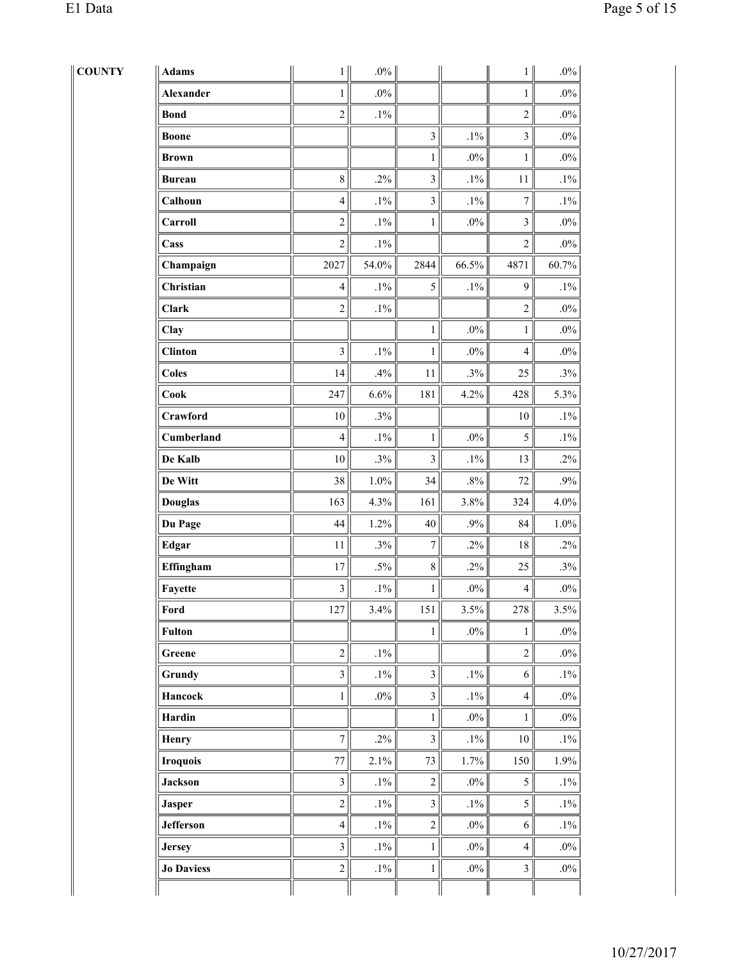| <b>COUNTY</b> | Adams             | $1\vert$                | $.0\%$  |                  |        | $1\vert$                | $.0\%$  |
|---------------|-------------------|-------------------------|---------|------------------|--------|-------------------------|---------|
|               | <b>Alexander</b>  | $\mathbf{1}$            | $.0\%$  |                  |        | $\mathbf{1}$            | $.0\%$  |
|               | <b>Bond</b>       | $\mathbf 2$             | $.1\%$  |                  |        | $\overline{c}$          | $.0\%$  |
|               | <b>Boone</b>      |                         |         | $\overline{3}$   | $.1\%$ | $\overline{\mathbf{3}}$ | $.0\%$  |
|               | <b>Brown</b>      |                         |         | $\mathbf{1}$     | $.0\%$ | $\mathbf{1}$            | $.0\%$  |
|               | <b>Bureau</b>     | $8\,$                   | $.2\%$  | $\mathfrak{Z}$   | $.1\%$ | $11\,$                  | $.1\%$  |
|               | Calhoun           | $\overline{\mathbf{4}}$ | $.1\%$  | $\mathfrak{Z}$   | $.1\%$ | $\boldsymbol{7}$        | $.1\%$  |
|               | Carroll           | $\sqrt{2}$              | $.1\%$  | $\mathbf{1}$     | $.0\%$ | $\mathfrak{Z}$          | $.0\%$  |
|               | Cass              | $\boldsymbol{2}$        | $.1\%$  |                  |        | $\overline{c}$          | $.0\%$  |
|               | Champaign         | 2027                    | 54.0%   | 2844             | 66.5%  | 4871                    | 60.7%   |
|               | Christian         | $\overline{4}$          | $.1\%$  | 5                | $.1\%$ | 9                       | $.1\%$  |
|               | Clark             | $\overline{2}$          | $.1\%$  |                  |        | $\overline{2}$          | $.0\%$  |
|               | Clay              |                         |         | $\mathbf{1}$     | $.0\%$ | $\mathbf{1}$            | $.0\%$  |
|               | <b>Clinton</b>    | $\overline{3}$          | $.1\%$  | $\mathbf{1}$     | $.0\%$ | $\overline{4}$          | $.0\%$  |
|               | <b>Coles</b>      | 14                      | .4%     | 11               | $.3\%$ | 25                      | .3%     |
|               | Cook              | 247                     | 6.6%    | 181              | 4.2%   | 428                     | 5.3%    |
|               | Crawford          | $10\,$                  | .3%     |                  |        | $10\,$                  | $.1\%$  |
|               | Cumberland        | $\overline{4}$          | $.1\%$  | $\mathbf{1}$     | $.0\%$ | 5                       | $.1\%$  |
|               | De Kalb           | $10\,$                  | $.3\%$  | $\mathfrak{Z}$   | $.1\%$ | 13                      | $.2\%$  |
|               | De Witt           | 38                      | $1.0\%$ | 34               | $.8\%$ | $72\,$                  | $.9\%$  |
|               | <b>Douglas</b>    | 163                     | 4.3%    | 161              | 3.8%   | 324                     | 4.0%    |
|               | Du Page           | 44                      | 1.2%    | 40               | $.9\%$ | 84                      | $1.0\%$ |
|               | Edgar             | $11\,$                  | .3%     | $\boldsymbol{7}$ | $.2\%$ | $18\,$                  | $.2\%$  |
|               | Effingham         | $17\,$                  | $.5\%$  | $\,8\,$          | $.2\%$ | 25                      | $.3\%$  |
|               | Fayette           | $\mathfrak{Z}$          | $.1\%$  | 1                | $.0\%$ | $\overline{4}$          | $.0\%$  |
|               | Ford              | 127                     | $3.4\%$ | 151              | 3.5%   | 278                     | 3.5%    |
|               | <b>Fulton</b>     |                         |         | $\mathbf{1}$     | $.0\%$ | 1                       | $.0\%$  |
|               | Greene            | $\sqrt{2}$              | $.1\%$  |                  |        | $\overline{c}$          | $.0\%$  |
|               | Grundy            | $\overline{\mathbf{3}}$ | $.1\%$  | $\mathfrak{Z}$   | $.1\%$ | $\sqrt{6}$              | $.1\%$  |
|               | <b>Hancock</b>    | $\mathbf{1}$            | $.0\%$  | $\mathfrak{Z}$   | $.1\%$ | $\overline{4}$          | $.0\%$  |
|               | Hardin            |                         |         | $\mathbf{1}$     | $.0\%$ | $\mathbf{1}$            | $.0\%$  |
|               | <b>Henry</b>      | $\boldsymbol{7}$        | $.2\%$  | $\mathfrak{Z}$   | $.1\%$ | $10\,$                  | $.1\%$  |
|               | <b>Iroquois</b>   | 77                      | 2.1%    | $73\,$           | 1.7%   | 150                     | 1.9%    |
|               | <b>Jackson</b>    | $\mathfrak{Z}$          | $.1\%$  | $\mathbf{2}$     | $.0\%$ | 5                       | $.1\%$  |
|               | <b>Jasper</b>     | $\sqrt{2}$              | $.1\%$  | $\mathfrak{Z}$   | $.1\%$ | 5                       | $.1\%$  |
|               | <b>Jefferson</b>  | $\overline{4}$          | $.1\%$  | $\overline{2}$   | $.0\%$ | 6                       | $.1\%$  |
|               | <b>Jersey</b>     | $\overline{3}$          | $.1\%$  | $\mathbf{1}$     | $.0\%$ | $\overline{4}$          | $.0\%$  |
|               | <b>Jo Daviess</b> | $\boldsymbol{2}$        | $.1\%$  | $\,1$            | $.0\%$ | 3                       | $.0\%$  |
|               |                   |                         |         |                  |        |                         |         |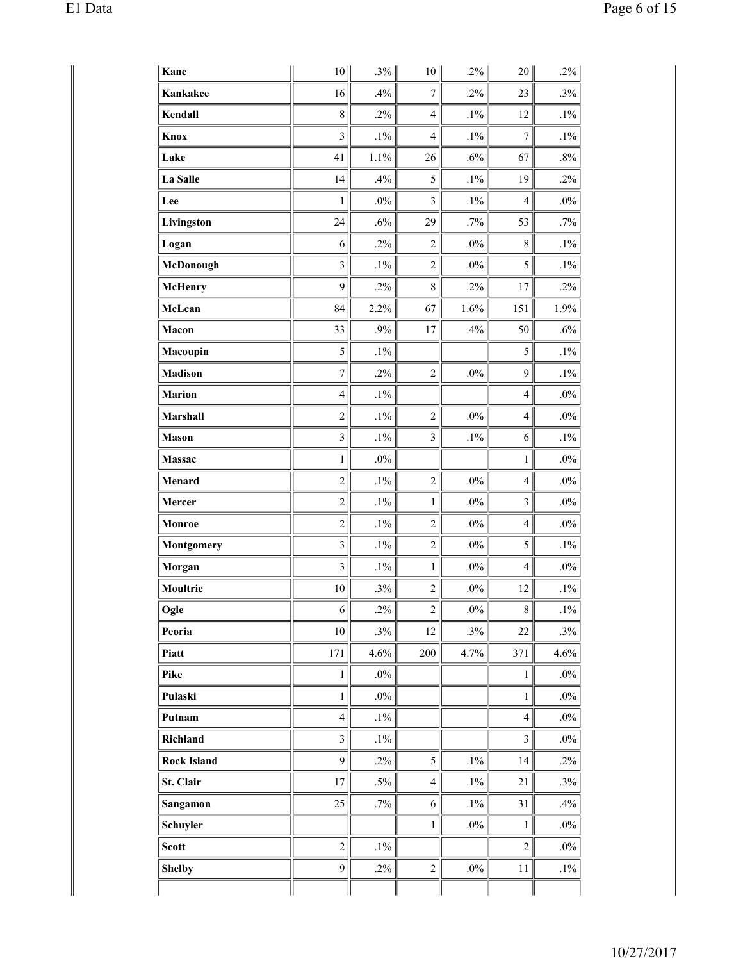| Kane               | $10$                    | $.3\%$ | 10 <sup>1</sup> | $.2\%$ | 20                       | .2%    |
|--------------------|-------------------------|--------|-----------------|--------|--------------------------|--------|
| Kankakee           | 16                      | .4%    | $\overline{7}$  | $.2\%$ | 23                       | .3%    |
| Kendall            | $\,8\,$                 | .2%    | $\overline{4}$  | $.1\%$ | 12                       | $.1\%$ |
| Knox               | $\mathfrak{Z}$          | $.1\%$ | $\overline{4}$  | $.1\%$ | 7                        | $.1\%$ |
| Lake               | 41                      | 1.1%   | 26              | $.6\%$ | 67                       | $.8\%$ |
| La Salle           | 14                      | .4%    | 5               | $.1\%$ | 19                       | $.2\%$ |
| Lee                | 1                       | $.0\%$ | $\mathfrak{Z}$  | $.1\%$ | $\overline{4}$           | $.0\%$ |
| Livingston         | 24                      | $.6\%$ | 29              | $.7\%$ | 53                       | .7%    |
| Logan              | 6                       | $.2\%$ | $\overline{c}$  | $.0\%$ | 8                        | $.1\%$ |
| McDonough          | $\mathfrak{Z}$          | $.1\%$ | $\overline{c}$  | $.0\%$ | 5                        | $.1\%$ |
| <b>McHenry</b>     | 9                       | $.2\%$ | 8               | $.2\%$ | 17                       | .2%    |
| McLean             | 84                      | 2.2%   | 67              | 1.6%   | 151                      | 1.9%   |
| Macon              | 33                      | $.9\%$ | 17              | .4%    | 50                       | $.6\%$ |
| Macoupin           | 5                       | $.1\%$ |                 |        | 5                        | $.1\%$ |
| <b>Madison</b>     | $\boldsymbol{7}$        | $.2\%$ | $\overline{c}$  | $.0\%$ | 9                        | $.1\%$ |
| <b>Marion</b>      | $\overline{4}$          | $.1\%$ |                 |        | $\overline{4}$           | $.0\%$ |
| Marshall           | $\overline{2}$          | $.1\%$ | $\overline{c}$  | $.0\%$ | $\overline{4}$           | $.0\%$ |
| <b>Mason</b>       | $\overline{\mathbf{3}}$ | $.1\%$ | $\mathfrak{Z}$  | $.1\%$ | 6                        | $.1\%$ |
| <b>Massac</b>      | $\mathbf{1}$            | $.0\%$ |                 |        | $\mathbf{1}$             | $.0\%$ |
| Menard             | $\overline{2}$          | $.1\%$ | $\overline{2}$  | $.0\%$ | $\overline{4}$           | $.0\%$ |
| Mercer             | $\sqrt{2}$              | $.1\%$ | 1               | $.0\%$ | 3                        | $.0\%$ |
| Monroe             | $\overline{c}$          | $.1\%$ | $\overline{c}$  | $.0\%$ | $\overline{\mathcal{L}}$ | $.0\%$ |
| <b>Montgomery</b>  | $\overline{\mathbf{3}}$ | $.1\%$ | $\overline{2}$  | $.0\%$ | 5                        | $.1\%$ |
| Morgan             | $\overline{\mathbf{3}}$ | $.1\%$ | $\mathbf{1}$    | $.0\%$ | $\overline{\mathcal{L}}$ | $.0\%$ |
| Moultrie           | $10\,$                  | .3%    | $\overline{c}$  | $.0\%$ | 12                       | $.1\%$ |
| Ogle               | 6                       | $.2\%$ | $\overline{c}$  | $.0\%$ | 8                        | $.1\%$ |
| Peoria             | 10                      | .3%    | 12              | .3%    | 22                       | .3%    |
| Piatt              | 171                     | 4.6%   | 200             | 4.7%   | 371                      | 4.6%   |
| Pike               | $\mathbf{1}$            | $.0\%$ |                 |        | $\mathbf{1}$             | $.0\%$ |
| Pulaski            | $\mathbf{1}$            | $.0\%$ |                 |        | $\,1$                    | $.0\%$ |
| Putnam             | $\overline{4}$          | $.1\%$ |                 |        | $\overline{4}$           | $.0\%$ |
| Richland           | $\mathfrak{Z}$          | $.1\%$ |                 |        | 3                        | $.0\%$ |
| <b>Rock Island</b> | 9                       | $.2\%$ | 5               | $.1\%$ | 14                       | $.2\%$ |
| St. Clair          | 17                      | $.5\%$ | $\overline{4}$  | $.1\%$ | 21                       | .3%    |
| Sangamon           | 25                      | $.7\%$ | $\epsilon$      | $.1\%$ | 31                       | .4%    |
| Schuyler           |                         |        | $\mathbf{1}$    | $.0\%$ | $\mathbf{1}$             | $.0\%$ |
| <b>Scott</b>       | $\sqrt{2}$              | $.1\%$ |                 |        | $\overline{c}$           | $.0\%$ |
| <b>Shelby</b>      | $\mathbf{9}$            | $.2\%$ | $\mathbf 2$     | $.0\%$ | $11$                     | $.1\%$ |
|                    |                         |        |                 |        |                          |        |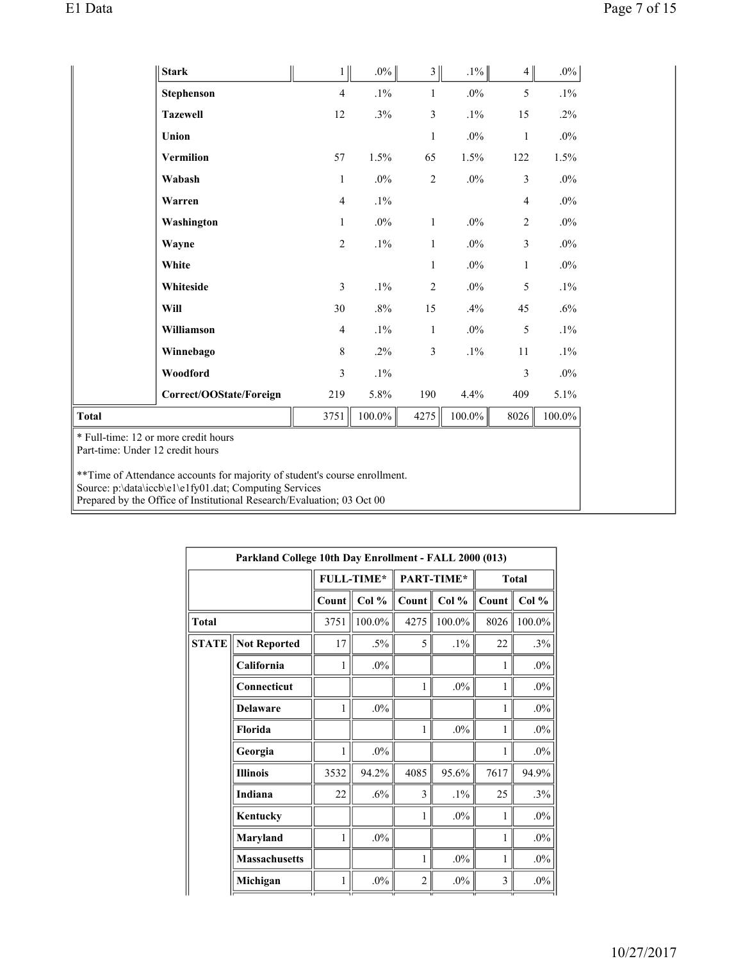|                                                                          | <b>Stark</b>                                                                                                                                                                                                    | 1              | $.0\%$    | 3              | $.1\%$    | 4 <sup>1</sup> | $.0\%$    |
|--------------------------------------------------------------------------|-----------------------------------------------------------------------------------------------------------------------------------------------------------------------------------------------------------------|----------------|-----------|----------------|-----------|----------------|-----------|
|                                                                          | Stephenson                                                                                                                                                                                                      | $\overline{4}$ | $.1\%$    | $\mathbf{1}$   | $.0\%$    | 5              | $.1\%$    |
|                                                                          | <b>Tazewell</b>                                                                                                                                                                                                 | 12             | .3%       | 3              | $.1\%$    | 15             | $.2\%$    |
|                                                                          | Union                                                                                                                                                                                                           |                |           | $\mathbf{1}$   | $.0\%$    | $\mathbf{1}$   | $.0\%$    |
|                                                                          | <b>Vermilion</b>                                                                                                                                                                                                | 57             | 1.5%      | 65             | 1.5%      | 122            | 1.5%      |
|                                                                          | Wabash                                                                                                                                                                                                          | $\mathbf{1}$   | $.0\%$    | $\overline{c}$ | $.0\%$    | 3              | $.0\%$    |
|                                                                          | Warren                                                                                                                                                                                                          | $\overline{4}$ | $.1\%$    |                |           | 4              | $.0\%$    |
|                                                                          | Washington                                                                                                                                                                                                      | 1              | $.0\%$    | $\mathbf{1}$   | $.0\%$    | 2              | $.0\%$    |
|                                                                          | Wayne                                                                                                                                                                                                           | $\overline{2}$ | $.1\%$    | $\mathbf{1}$   | $.0\%$    | 3              | $.0\%$    |
|                                                                          | White                                                                                                                                                                                                           |                |           | 1              | $.0\%$    | 1              | $.0\%$    |
|                                                                          | Whiteside                                                                                                                                                                                                       | 3              | $.1\%$    | $\mathfrak{2}$ | $.0\%$    | 5              | $.1\%$    |
|                                                                          | Will                                                                                                                                                                                                            | 30             | $.8\%$    | 15             | .4%       | 45             | .6%       |
|                                                                          | Williamson                                                                                                                                                                                                      | $\overline{4}$ | $.1\%$    | 1              | $.0\%$    | 5              | $.1\%$    |
|                                                                          | Winnebago                                                                                                                                                                                                       | 8              | $.2\%$    | 3              | $.1\%$    | 11             | $.1\%$    |
|                                                                          | Woodford                                                                                                                                                                                                        | 3              | $.1\%$    |                |           | 3              | $.0\%$    |
|                                                                          | Correct/OOState/Foreign                                                                                                                                                                                         | 219            | 5.8%      | 190            | 4.4%      | 409            | 5.1%      |
| <b>Total</b>                                                             |                                                                                                                                                                                                                 | 3751           | $100.0\%$ | 4275           | $100.0\%$ | 8026           | $100.0\%$ |
| * Full-time: 12 or more credit hours<br>Part-time: Under 12 credit hours |                                                                                                                                                                                                                 |                |           |                |           |                |           |
|                                                                          | ** Time of Attendance accounts for majority of student's course enrollment.<br>Source: p:\data\iccb\e1\e1fy01.dat; Computing Services<br>Prepared by the Office of Institutional Research/Evaluation; 03 Oct 00 |                |           |                |           |                |           |

|              | Parkland College 10th Day Enrollment - FALL 2000 (013) |       |            |                |            |       |           |
|--------------|--------------------------------------------------------|-------|------------|----------------|------------|-------|-----------|
|              |                                                        |       | FULL-TIME* |                | PART-TIME* |       | Total     |
|              |                                                        | Count | Col %      | Count          | Col $%$    | Count | Col %     |
| <b>Total</b> |                                                        | 3751  | 100.0%     | 4275           | 100.0%     | 8026  | $100.0\%$ |
| <b>STATE</b> | <b>Not Reported</b>                                    | 17    | $.5\%$     | 5              | $.1\%$     | 22    | .3%       |
|              | California                                             | 1     | $.0\%$     |                |            | 1     | $.0\%$    |
|              | Connecticut                                            |       |            | 1              | $.0\%$     | 1     | $.0\%$    |
|              | <b>Delaware</b>                                        | 1     | $.0\%$     |                |            | 1     | $.0\%$    |
|              | Florida                                                |       |            | 1              | $.0\%$     | 1     | $.0\%$    |
|              | Georgia                                                | 1     | $.0\%$     |                |            | 1     | $.0\%$    |
|              | <b>Illinois</b>                                        | 3532  | 94.2%      | 4085           | 95.6%      | 7617  | 94.9%     |
|              | Indiana                                                | 22    | .6%        | 3              | $.1\%$     | 25    | .3%       |
|              | Kentucky                                               |       |            | 1              | $.0\%$     | 1     | $.0\%$    |
|              | Maryland                                               | 1     | $.0\%$     |                |            | 1     | $.0\%$    |
|              | <b>Massachusetts</b>                                   |       |            | 1              | $.0\%$     | 1     | $.0\%$    |
|              | Michigan                                               |       | $.0\%$     | $\overline{2}$ | $.0\%$     | 3     | $.0\%$    |
|              |                                                        | ıг    | ıг         |                |            |       |           |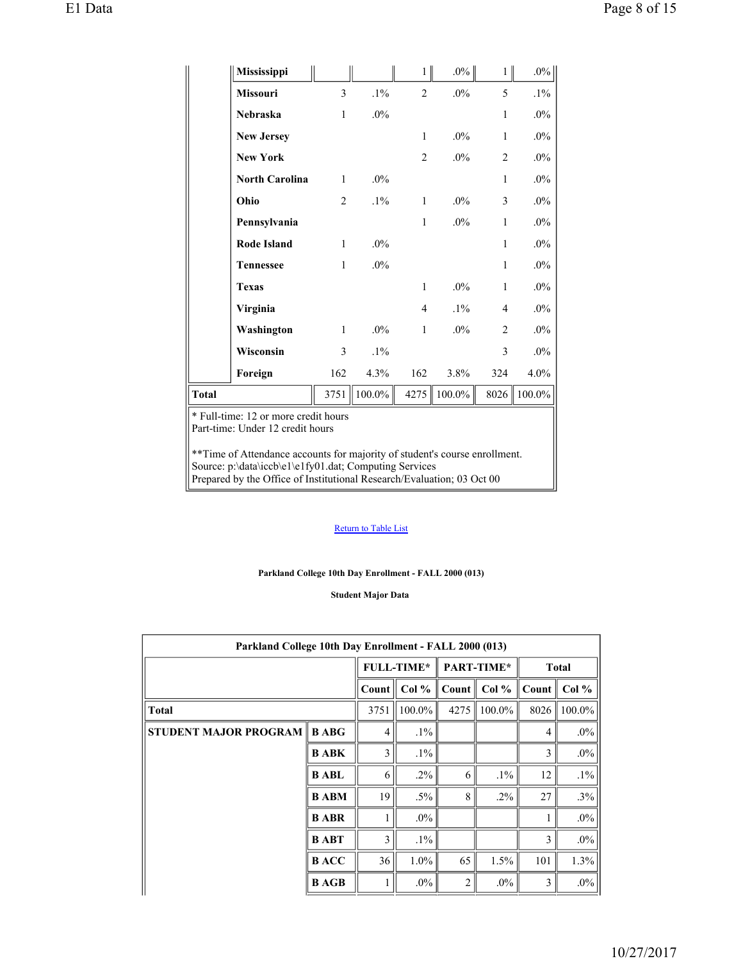|              | Mississippi                          |                |        | $\mathbf{1}$   | $.0\%$    | $\mathbf{1}$   | $.0\%$    |
|--------------|--------------------------------------|----------------|--------|----------------|-----------|----------------|-----------|
|              | Missouri                             | 3              | $.1\%$ | $\overline{2}$ | $.0\%$    | 5              | $.1\%$    |
|              | Nebraska                             | $\mathbf{1}$   | $.0\%$ |                |           | $\mathbf{1}$   | $.0\%$    |
|              | <b>New Jersey</b>                    |                |        | $\mathbf{1}$   | $.0\%$    | 1              | $.0\%$    |
|              | <b>New York</b>                      |                |        | $\overline{2}$ | $.0\%$    | $\overline{2}$ | $.0\%$    |
|              | <b>North Carolina</b>                | $\mathbf{1}$   | $.0\%$ |                |           | 1              | $.0\%$    |
|              | Ohio                                 | $\overline{2}$ | $.1\%$ | $\mathbf{1}$   | .0%       | 3              | $.0\%$    |
|              | Pennsylvania                         |                |        | $\mathbf{1}$   | $.0\%$    | $\mathbf{1}$   | $.0\%$    |
|              | <b>Rode Island</b>                   | $\mathbf{1}$   | .0%    |                |           | $\mathbf{1}$   | $.0\%$    |
|              | <b>Tennessee</b>                     | $\mathbf{1}$   | .0%    |                |           | 1              | $.0\%$    |
|              | <b>Texas</b>                         |                |        | $\mathbf{1}$   | .0%       | $\mathbf{1}$   | $.0\%$    |
|              | Virginia                             |                |        | 4              | $.1\%$    | $\overline{4}$ | $.0\%$    |
|              | Washington                           | $\mathbf{1}$   | $.0\%$ | $\,1\,$        | $.0\%$    | $\overline{2}$ | $.0\%$    |
|              | Wisconsin                            | $\overline{3}$ | $.1\%$ |                |           | 3              | $.0\%$    |
|              | Foreign                              | 162            | 4.3%   | 162            | 3.8%      | 324            | 4.0%      |
| <b>Total</b> |                                      | 3751           | 100.0% | 4275           | $100.0\%$ | 8026           | $100.0\%$ |
|              | * Full-time: 12 or more credit hours |                |        |                |           |                |           |

Part-time: Under 12 credit hours

\*\*Time of Attendance accounts for majority of student's course enrollment. Source: p:\data\iccb\e1\e1fy01.dat; Computing Services Prepared by the Office of Institutional Research/Evaluation; 03 Oct 00

### Return to Table List

### **Parkland College 10th Day Enrollment - FALL 2000 (013)**

**Student Major Data** 

| Parkland College 10th Day Enrollment - FALL 2000 (013) |              |       |                   |                |                           |                   |                 |  |  |  |  |  |
|--------------------------------------------------------|--------------|-------|-------------------|----------------|---------------------------|-------------------|-----------------|--|--|--|--|--|
|                                                        |              |       | <b>FULL-TIME*</b> |                | PART-TIME*                |                   | <b>Total</b>    |  |  |  |  |  |
|                                                        |              | Count | Col %             |                | Count $\vert \vert$ Col % | $Count \parallel$ | Col %           |  |  |  |  |  |
| <b>Total</b>                                           |              | 3751  | 100.0%            |                | 4275   $100.0\%$          |                   | $8026$   100.0% |  |  |  |  |  |
| <b>STUDENT MAJOR PROGRAM   B ABG</b>                   |              | 4     | $.1\%$            |                |                           | $\overline{4}$    | $.0\%$          |  |  |  |  |  |
|                                                        | <b>B ABK</b> | 3     | $.1\%$            |                |                           | 3                 | $.0\%$          |  |  |  |  |  |
|                                                        | <b>B ABL</b> | 6     | $.2\%$            | 6              | $.1\%$                    | 12                | $.1\%$          |  |  |  |  |  |
|                                                        | <b>BABM</b>  | 19    | $.5\%$            | $\mathbf{8}$   | $.2\%$                    | 27                | .3%             |  |  |  |  |  |
|                                                        | <b>B</b> ABR | 1     | $.0\%$            |                |                           | 1                 | $.0\%$          |  |  |  |  |  |
|                                                        | <b>BABT</b>  | 3     | $.1\%$            |                |                           | 3                 | $.0\%$          |  |  |  |  |  |
|                                                        | <b>BACC</b>  | 36    | $1.0\%$           | 65             | 1.5%                      | 101               | 1.3%            |  |  |  |  |  |
|                                                        | <b>B</b> AGB |       | $.0\%$            | $\overline{2}$ | $.0\%$                    | 3                 | $.0\%$          |  |  |  |  |  |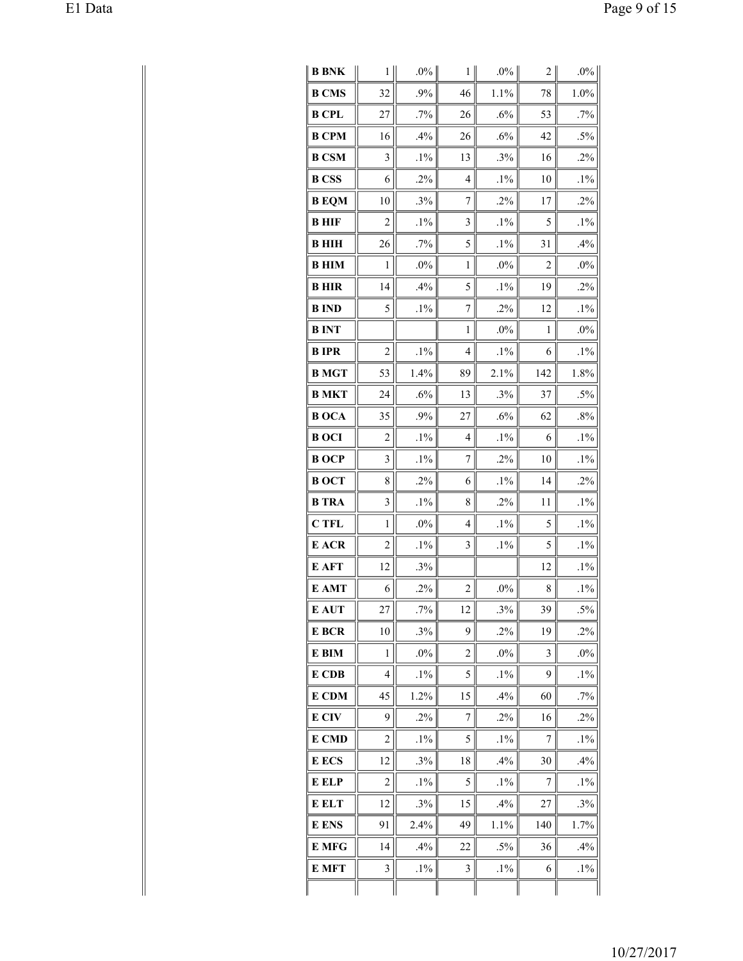| <b>B BNK</b> | 1                       | $.0\%$ | 1                       | $.0\%$ | 2                | $.0\%$ |
|--------------|-------------------------|--------|-------------------------|--------|------------------|--------|
| <b>B CMS</b> | 32                      | .9%    | 46                      | 1.1%   | 78               | 1.0%   |
| <b>B CPL</b> | 27                      | .7%    | 26                      | .6%    | 53               | .7%    |
| <b>B CPM</b> | 16                      | .4%    | 26                      | .6%    | 42               | $.5\%$ |
| <b>B CSM</b> | 3                       | $.1\%$ | 13                      | .3%    | 16               | $.2\%$ |
| <b>B</b> CSS | 6                       | .2%    | 4                       | $.1\%$ | 10               | $.1\%$ |
| <b>B</b> EQM | 10                      | .3%    | 7                       | .2%    | 17               | .2%    |
| <b>B</b> HIF | $\overline{c}$          | $.1\%$ | 3                       | $.1\%$ | 5                | $.1\%$ |
| <b>B</b> HIH | 26                      | .7%    | 5                       | $.1\%$ | 31               | .4%    |
| <b>BHIM</b>  | 1                       | $.0\%$ | 1                       | .0%    | $\overline{2}$   | $.0\%$ |
| <b>BHIR</b>  | 14                      | .4%    | 5                       | $.1\%$ | 19               | .2%    |
| <b>B</b> IND | 5                       | $.1\%$ | 7                       | .2%    | 12               | $.1\%$ |
| <b>BINT</b>  |                         |        | 1                       | $.0\%$ | 1                | $.0\%$ |
| <b>BIPR</b>  | 2                       | $.1\%$ | 4                       | $.1\%$ | 6                | $.1\%$ |
| <b>B</b> MGT | 53                      | 1.4%   | 89                      | 2.1%   | 142              | 1.8%   |
| <b>B MKT</b> | 24                      | .6%    | 13                      | .3%    | 37               | $.5\%$ |
| <b>BOCA</b>  | 35                      | .9%    | 27                      | .6%    | 62               | .8%    |
| <b>BOCI</b>  | 2                       | $.1\%$ | 4                       | $.1\%$ | 6                | $.1\%$ |
| <b>BOCP</b>  | 3                       | $.1\%$ | 7                       | .2%    | 10               | $.1\%$ |
| <b>BOCT</b>  | 8                       | .2%    | 6                       | $.1\%$ | 14               | $.2\%$ |
| <b>B</b> TRA | 3                       | $.1\%$ | 8                       | .2%    | 11               | $.1\%$ |
| <b>C</b> TFL | 1                       | .0%    | 4                       | $.1\%$ | 5                | $.1\%$ |
| E ACR        | 2                       | $.1\%$ | 3                       | $.1\%$ | 5                | $.1\%$ |
| E AFT        | 12                      | .3%    |                         |        | 12               | $.1\%$ |
| E AMT        | 6                       | .2%    | $\overline{\mathbf{c}}$ | $.0\%$ | 8                | $.1\%$ |
| E AUT        | 27                      | .7%    | 12                      | .3%    | 39               | $.5\%$ |
| E BCR        | 10                      | .3%    | 9                       | .2%    | 19               | .2%    |
| E BIM        | 1                       | $.0\%$ | $\overline{c}$          | $.0\%$ | 3                | $.0\%$ |
| E CDB        | $\overline{4}$          | $.1\%$ | 5                       | $.1\%$ | 9                | $.1\%$ |
| E CDM        | 45                      | 1.2%   | 15                      | .4%    | 60               | $.7\%$ |
| E CIV        | 9                       | .2%    | 7                       | $.2\%$ | 16               | .2%    |
| E CMD        | $\overline{c}$          | $.1\%$ | 5                       | $.1\%$ | $\boldsymbol{7}$ | $.1\%$ |
| E ECS        | 12                      | .3%    | 18                      | .4%    | 30               | .4%    |
| E ELP        | $\overline{\mathbf{c}}$ | $.1\%$ | 5                       | $.1\%$ | 7                | $.1\%$ |
| E ELT        | 12                      | .3%    | 15                      | .4%    | 27               | .3%    |
| E ENS        | 91                      | 2.4%   | 49                      | 1.1%   | 140              | 1.7%   |
| <b>E</b> MFG | 14                      | .4%    | 22                      | $.5\%$ | 36               | .4%    |
| E MFT        | $\mathfrak{Z}$          | $.1\%$ | 3                       | $.1\%$ | 6                | $.1\%$ |
|              |                         |        |                         |        |                  |        |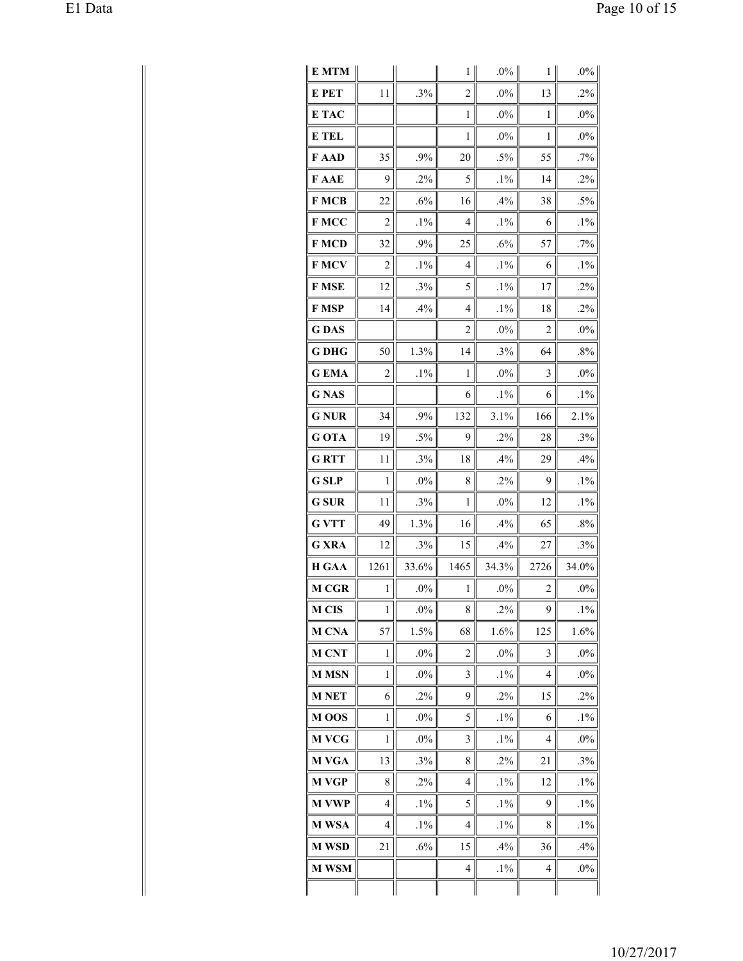| E MTM        |              |         | 1              | $.0\%$ | 1              | $.0\%$ |
|--------------|--------------|---------|----------------|--------|----------------|--------|
| E PET        | 11           | .3%     | $\overline{2}$ | $.0\%$ | 13             | $.2\%$ |
| E TAC        |              |         | $\mathbf{1}$   | $.0\%$ | 1              | $.0\%$ |
| E TEL        |              |         | 1              | .0%    | 1              | $.0\%$ |
| F AAD        | 35           | .9%     | 20             | $.5\%$ | 55             | $.7\%$ |
| F AAE        | 9            | .2%     | 5              | $.1\%$ | 14             | $.2\%$ |
| <b>FMCB</b>  | 22           | .6%     | 16             | .4%    | 38             | $.5\%$ |
| F MCC        | 2            | $.1\%$  | 4              | $.1\%$ | 6              | $.1\%$ |
| F MCD        | 32           | .9%     | 25             | .6%    | 57             | .7%    |
| <b>FMCV</b>  | 2            | $.1\%$  | 4              | $.1\%$ | 6              | $.1\%$ |
| F MSE        | 12           | .3%     | 5              | $.1\%$ | 17             | .2%    |
| F MSP        | 14           | .4%     | 4              | $.1\%$ | 18             | $.2\%$ |
| <b>GDAS</b>  |              |         | 2              | .0%    | 2              | $.0\%$ |
| <b>G DHG</b> | 50           | 1.3%    | 14             | .3%    | 64             | .8%    |
| <b>GEMA</b>  | 2            | $.1\%$  | 1              | .0%    | 3              | $.0\%$ |
| <b>G</b> NAS |              |         | 6              | $.1\%$ | 6              | $.1\%$ |
| <b>G NUR</b> | 34           | .9%     | 132            | 3.1%   | 166            | 2.1%   |
| G OTA        | 19           | $.5\%$  | 9              | .2%    | 28             | .3%    |
| <b>GRTT</b>  | 11           | .3%     | 18             | .4%    | 29             | .4%    |
| <b>G</b> SLP | $\,1$        | $.0\%$  | 8              | .2%    | 9              | $.1\%$ |
| <b>G</b> SUR | 11           | .3%     | 1              | $.0\%$ | 12             | $.1\%$ |
| <b>G VTT</b> | 49           | 1.3%    | 16             | .4%    | 65             | $.8\%$ |
| <b>G XRA</b> | 12           | .3%     | 15             | .4%    | 27             | .3%    |
| <b>H GAA</b> | 1261         | 33.6%   | 1465           | 34.3%  | 2726           | 34.0%  |
| <b>M CGR</b> | $\mathbf{1}$ | .0%     | 1              | $.0\%$ | $\overline{2}$ | $.0\%$ |
| <b>M CIS</b> | 1            | $.0\%$  | 8              | $.2\%$ | 9              | $.1\%$ |
| M CNA        | 57           | $1.5\%$ | 68             | 1.6%   | 125            | 1.6%   |
| <b>M CNT</b> | $\mathbf{1}$ | $.0\%$  | $\overline{c}$ | $.0\%$ | 3              | $.0\%$ |
| <b>MMSN</b>  | $\mathbf{1}$ | $.0\%$  | 3              | $.1\%$ | 4              | $.0\%$ |
| <b>M NET</b> | 6            | .2%     | 9              | .2%    | 15             | $.2\%$ |
| M OOS        | 1            | $.0\%$  | 5              | $.1\%$ | 6              | $.1\%$ |
| M VCG        | 1            | $.0\%$  | 3              | $.1\%$ | 4              | $.0\%$ |
| M VGA        | 13           | .3%     | 8              | .2%    | 21             | .3%    |
| M VGP        | 8            | $.2\%$  | 4              | $.1\%$ | 12             | $.1\%$ |
| <b>M VWP</b> | 4            | $.1\%$  | 5              | $.1\%$ | 9              | $.1\%$ |
| M WSA        | 4            | $.1\%$  | 4              | $.1\%$ | 8              | $.1\%$ |
| <b>M WSD</b> | 21           | $.6\%$  | 15             | .4%    | 36             | .4%    |
| <b>M WSM</b> |              |         | 4              | $.1\%$ | 4              | $.0\%$ |
|              |              |         |                |        |                |        |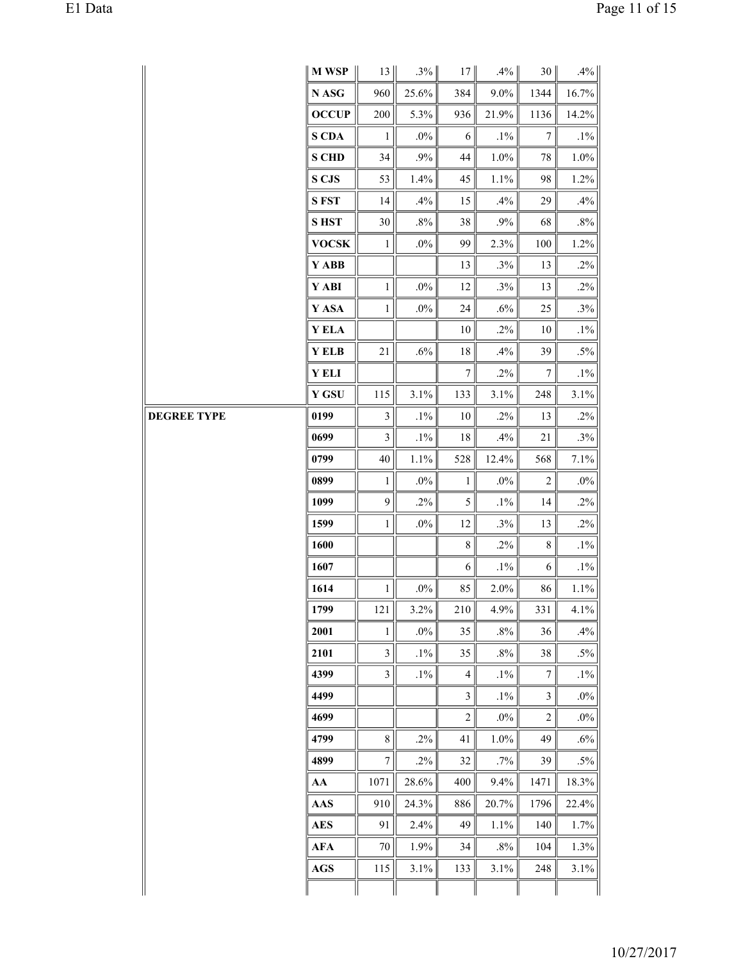| M WSP<br>13<br>.3%<br>$.4\%$<br>.4%<br>17<br>30 <br>$9.0\%$<br>N ASG<br>960<br>25.6%<br>16.7%<br>384<br>1344<br><b>OCCUP</b><br>$200\,$<br>5.3%<br>21.9%<br>1136<br>14.2%<br>936<br>$\boldsymbol{7}$<br><b>S CDA</b><br>$.0\%$<br>$.1\%$<br>$\mathbf{1}$<br>$\sqrt{6}$<br>$.1\%$<br><b>S CHD</b><br>$.9\%$<br>$1.0\%$<br>$1.0\%$<br>34<br>$44\,$<br>$78\,$<br>S CJS<br>1.4%<br>98<br>1.2%<br>53<br>45<br>$1.1\%$<br><b>SFST</b><br>.4%<br>14<br>.4%<br>15<br>29<br>.4%<br>$.8\%$<br><b>SHST</b><br>$30\,$<br>$.8\%$<br>.9%<br>68<br>38<br><b>VOCSK</b><br>$.0\%$<br>2.3%<br>1.2%<br>$\mathbf{1}$<br>99<br>100<br>Y ABB<br>$.2\%$<br>.3%<br>13<br>13<br>Y ABI<br>$.0\%$<br>$.2\%$<br>12<br>.3%<br>13<br>$\mathbf{1}$<br>Y ASA<br>$.3\%$<br>25<br>$.0\%$<br>24<br>.6%<br>$\mathbf{1}$<br>Y ELA<br>$.1\%$<br>$.2\%$<br>$10\,$<br>10<br>Y ELB<br>$.6\%$<br>39<br>$.5\%$<br>21<br>$18\,$<br>.4%<br>Y ELI<br>$\boldsymbol{7}$<br>$.2\%$<br>$\tau$<br>$.1\%$<br><b>Y GSU</b><br>3.1%<br>115<br>3.1%<br>3.1%<br>133<br>248<br><b>DEGREE TYPE</b><br>0199<br>3<br>$.1\%$<br>$.2\%$<br>13<br>$10\,$<br>$.2\%$<br>$.1\%$<br>$.3\%$<br>0699<br>3<br>$18\,$<br>.4%<br>21<br>$1.1\%$<br>7.1%<br>0799<br>$40\,$<br>528<br>12.4%<br>568<br>$\overline{2}$<br>$.0\%$<br>0899<br>$.0\%$<br>$.0\%$<br>$1\,$<br>$1\,$<br>$.2\%$<br>9<br>$.2\%$<br>$\mathfrak{S}$<br>$.1\%$<br>14<br>1099<br>1599<br>12<br>.3%<br>$.2\%$<br>$\mathbf{1}$<br>$.0\%$<br>13<br>8 <sup>1</sup><br>$.2\%$<br>8 <sup>1</sup><br>$.1\%$<br>1600<br>$.1\%$<br>1607<br>6<br>$.1\%$<br>6<br>1614<br>$.0\%$<br>85<br>2.0%<br>$1.1\%$<br>$\mathbf{1}$<br>86<br>1799<br>121<br>3.2%<br>4.9%<br>4.1%<br>210<br>331<br>$.0\%$<br>35<br>$.8\%$<br>36<br>.4%<br>2001<br>$\mathbf{1}$<br>$\mathfrak{Z}$<br>35<br>$.5\%$<br>2101<br>$.1\%$<br>$.8\%$<br>38<br>$\mathfrak{Z}$<br>$\overline{7}$<br>4399<br>$.1\%$<br>$.1\%$<br>$\overline{4}$<br>$.1\%$<br>$\mathfrak{Z}$<br>$\mathfrak{Z}$<br>$.0\%$<br>4499<br>$.1\%$<br>$\overline{c}$<br>$\overline{c}$<br>$.0\%$<br>4699<br>$.0\%$<br>8 <sup>1</sup><br>4799<br>$.2\%$<br>49<br>$.6\%$<br>41<br>$1.0\%$<br>$\tau$<br>$.5\%$<br>4899<br>$.2\%$<br>$32\,$<br>.7%<br>39<br>28.6%<br>9.4%<br>18.3%<br>AA<br>1071<br>400<br>1471<br>$\mathbf{A}\mathbf{A}\mathbf{S}$<br>24.3%<br>20.7%<br>1796<br>22.4%<br>910<br>886<br>1.7%<br><b>AES</b><br>2.4%<br>49<br>140<br>91<br>1.1% | E1 Data |  |            |    |      |    |        |     |      | Page 11 of 15 |
|-----------------------------------------------------------------------------------------------------------------------------------------------------------------------------------------------------------------------------------------------------------------------------------------------------------------------------------------------------------------------------------------------------------------------------------------------------------------------------------------------------------------------------------------------------------------------------------------------------------------------------------------------------------------------------------------------------------------------------------------------------------------------------------------------------------------------------------------------------------------------------------------------------------------------------------------------------------------------------------------------------------------------------------------------------------------------------------------------------------------------------------------------------------------------------------------------------------------------------------------------------------------------------------------------------------------------------------------------------------------------------------------------------------------------------------------------------------------------------------------------------------------------------------------------------------------------------------------------------------------------------------------------------------------------------------------------------------------------------------------------------------------------------------------------------------------------------------------------------------------------------------------------------------------------------------------------------------------------------------------------------------------------------------------------------------------------------------------------------------------------------------------------------------------------------------------------------------------------------------------------------------------------------------------------------------------------------------------------------------------------|---------|--|------------|----|------|----|--------|-----|------|---------------|
|                                                                                                                                                                                                                                                                                                                                                                                                                                                                                                                                                                                                                                                                                                                                                                                                                                                                                                                                                                                                                                                                                                                                                                                                                                                                                                                                                                                                                                                                                                                                                                                                                                                                                                                                                                                                                                                                                                                                                                                                                                                                                                                                                                                                                                                                                                                                                                       |         |  |            |    |      |    |        |     |      |               |
|                                                                                                                                                                                                                                                                                                                                                                                                                                                                                                                                                                                                                                                                                                                                                                                                                                                                                                                                                                                                                                                                                                                                                                                                                                                                                                                                                                                                                                                                                                                                                                                                                                                                                                                                                                                                                                                                                                                                                                                                                                                                                                                                                                                                                                                                                                                                                                       |         |  |            |    |      |    |        |     |      |               |
|                                                                                                                                                                                                                                                                                                                                                                                                                                                                                                                                                                                                                                                                                                                                                                                                                                                                                                                                                                                                                                                                                                                                                                                                                                                                                                                                                                                                                                                                                                                                                                                                                                                                                                                                                                                                                                                                                                                                                                                                                                                                                                                                                                                                                                                                                                                                                                       |         |  |            |    |      |    |        |     |      |               |
|                                                                                                                                                                                                                                                                                                                                                                                                                                                                                                                                                                                                                                                                                                                                                                                                                                                                                                                                                                                                                                                                                                                                                                                                                                                                                                                                                                                                                                                                                                                                                                                                                                                                                                                                                                                                                                                                                                                                                                                                                                                                                                                                                                                                                                                                                                                                                                       |         |  |            |    |      |    |        |     |      |               |
|                                                                                                                                                                                                                                                                                                                                                                                                                                                                                                                                                                                                                                                                                                                                                                                                                                                                                                                                                                                                                                                                                                                                                                                                                                                                                                                                                                                                                                                                                                                                                                                                                                                                                                                                                                                                                                                                                                                                                                                                                                                                                                                                                                                                                                                                                                                                                                       |         |  |            |    |      |    |        |     |      |               |
|                                                                                                                                                                                                                                                                                                                                                                                                                                                                                                                                                                                                                                                                                                                                                                                                                                                                                                                                                                                                                                                                                                                                                                                                                                                                                                                                                                                                                                                                                                                                                                                                                                                                                                                                                                                                                                                                                                                                                                                                                                                                                                                                                                                                                                                                                                                                                                       |         |  |            |    |      |    |        |     |      |               |
|                                                                                                                                                                                                                                                                                                                                                                                                                                                                                                                                                                                                                                                                                                                                                                                                                                                                                                                                                                                                                                                                                                                                                                                                                                                                                                                                                                                                                                                                                                                                                                                                                                                                                                                                                                                                                                                                                                                                                                                                                                                                                                                                                                                                                                                                                                                                                                       |         |  |            |    |      |    |        |     |      |               |
|                                                                                                                                                                                                                                                                                                                                                                                                                                                                                                                                                                                                                                                                                                                                                                                                                                                                                                                                                                                                                                                                                                                                                                                                                                                                                                                                                                                                                                                                                                                                                                                                                                                                                                                                                                                                                                                                                                                                                                                                                                                                                                                                                                                                                                                                                                                                                                       |         |  |            |    |      |    |        |     |      |               |
|                                                                                                                                                                                                                                                                                                                                                                                                                                                                                                                                                                                                                                                                                                                                                                                                                                                                                                                                                                                                                                                                                                                                                                                                                                                                                                                                                                                                                                                                                                                                                                                                                                                                                                                                                                                                                                                                                                                                                                                                                                                                                                                                                                                                                                                                                                                                                                       |         |  |            |    |      |    |        |     |      |               |
|                                                                                                                                                                                                                                                                                                                                                                                                                                                                                                                                                                                                                                                                                                                                                                                                                                                                                                                                                                                                                                                                                                                                                                                                                                                                                                                                                                                                                                                                                                                                                                                                                                                                                                                                                                                                                                                                                                                                                                                                                                                                                                                                                                                                                                                                                                                                                                       |         |  |            |    |      |    |        |     |      |               |
|                                                                                                                                                                                                                                                                                                                                                                                                                                                                                                                                                                                                                                                                                                                                                                                                                                                                                                                                                                                                                                                                                                                                                                                                                                                                                                                                                                                                                                                                                                                                                                                                                                                                                                                                                                                                                                                                                                                                                                                                                                                                                                                                                                                                                                                                                                                                                                       |         |  |            |    |      |    |        |     |      |               |
|                                                                                                                                                                                                                                                                                                                                                                                                                                                                                                                                                                                                                                                                                                                                                                                                                                                                                                                                                                                                                                                                                                                                                                                                                                                                                                                                                                                                                                                                                                                                                                                                                                                                                                                                                                                                                                                                                                                                                                                                                                                                                                                                                                                                                                                                                                                                                                       |         |  |            |    |      |    |        |     |      |               |
|                                                                                                                                                                                                                                                                                                                                                                                                                                                                                                                                                                                                                                                                                                                                                                                                                                                                                                                                                                                                                                                                                                                                                                                                                                                                                                                                                                                                                                                                                                                                                                                                                                                                                                                                                                                                                                                                                                                                                                                                                                                                                                                                                                                                                                                                                                                                                                       |         |  |            |    |      |    |        |     |      |               |
|                                                                                                                                                                                                                                                                                                                                                                                                                                                                                                                                                                                                                                                                                                                                                                                                                                                                                                                                                                                                                                                                                                                                                                                                                                                                                                                                                                                                                                                                                                                                                                                                                                                                                                                                                                                                                                                                                                                                                                                                                                                                                                                                                                                                                                                                                                                                                                       |         |  |            |    |      |    |        |     |      |               |
|                                                                                                                                                                                                                                                                                                                                                                                                                                                                                                                                                                                                                                                                                                                                                                                                                                                                                                                                                                                                                                                                                                                                                                                                                                                                                                                                                                                                                                                                                                                                                                                                                                                                                                                                                                                                                                                                                                                                                                                                                                                                                                                                                                                                                                                                                                                                                                       |         |  |            |    |      |    |        |     |      |               |
|                                                                                                                                                                                                                                                                                                                                                                                                                                                                                                                                                                                                                                                                                                                                                                                                                                                                                                                                                                                                                                                                                                                                                                                                                                                                                                                                                                                                                                                                                                                                                                                                                                                                                                                                                                                                                                                                                                                                                                                                                                                                                                                                                                                                                                                                                                                                                                       |         |  |            |    |      |    |        |     |      |               |
|                                                                                                                                                                                                                                                                                                                                                                                                                                                                                                                                                                                                                                                                                                                                                                                                                                                                                                                                                                                                                                                                                                                                                                                                                                                                                                                                                                                                                                                                                                                                                                                                                                                                                                                                                                                                                                                                                                                                                                                                                                                                                                                                                                                                                                                                                                                                                                       |         |  |            |    |      |    |        |     |      |               |
|                                                                                                                                                                                                                                                                                                                                                                                                                                                                                                                                                                                                                                                                                                                                                                                                                                                                                                                                                                                                                                                                                                                                                                                                                                                                                                                                                                                                                                                                                                                                                                                                                                                                                                                                                                                                                                                                                                                                                                                                                                                                                                                                                                                                                                                                                                                                                                       |         |  |            |    |      |    |        |     |      |               |
|                                                                                                                                                                                                                                                                                                                                                                                                                                                                                                                                                                                                                                                                                                                                                                                                                                                                                                                                                                                                                                                                                                                                                                                                                                                                                                                                                                                                                                                                                                                                                                                                                                                                                                                                                                                                                                                                                                                                                                                                                                                                                                                                                                                                                                                                                                                                                                       |         |  |            |    |      |    |        |     |      |               |
|                                                                                                                                                                                                                                                                                                                                                                                                                                                                                                                                                                                                                                                                                                                                                                                                                                                                                                                                                                                                                                                                                                                                                                                                                                                                                                                                                                                                                                                                                                                                                                                                                                                                                                                                                                                                                                                                                                                                                                                                                                                                                                                                                                                                                                                                                                                                                                       |         |  |            |    |      |    |        |     |      |               |
|                                                                                                                                                                                                                                                                                                                                                                                                                                                                                                                                                                                                                                                                                                                                                                                                                                                                                                                                                                                                                                                                                                                                                                                                                                                                                                                                                                                                                                                                                                                                                                                                                                                                                                                                                                                                                                                                                                                                                                                                                                                                                                                                                                                                                                                                                                                                                                       |         |  |            |    |      |    |        |     |      |               |
|                                                                                                                                                                                                                                                                                                                                                                                                                                                                                                                                                                                                                                                                                                                                                                                                                                                                                                                                                                                                                                                                                                                                                                                                                                                                                                                                                                                                                                                                                                                                                                                                                                                                                                                                                                                                                                                                                                                                                                                                                                                                                                                                                                                                                                                                                                                                                                       |         |  |            |    |      |    |        |     |      |               |
|                                                                                                                                                                                                                                                                                                                                                                                                                                                                                                                                                                                                                                                                                                                                                                                                                                                                                                                                                                                                                                                                                                                                                                                                                                                                                                                                                                                                                                                                                                                                                                                                                                                                                                                                                                                                                                                                                                                                                                                                                                                                                                                                                                                                                                                                                                                                                                       |         |  |            |    |      |    |        |     |      |               |
|                                                                                                                                                                                                                                                                                                                                                                                                                                                                                                                                                                                                                                                                                                                                                                                                                                                                                                                                                                                                                                                                                                                                                                                                                                                                                                                                                                                                                                                                                                                                                                                                                                                                                                                                                                                                                                                                                                                                                                                                                                                                                                                                                                                                                                                                                                                                                                       |         |  |            |    |      |    |        |     |      |               |
|                                                                                                                                                                                                                                                                                                                                                                                                                                                                                                                                                                                                                                                                                                                                                                                                                                                                                                                                                                                                                                                                                                                                                                                                                                                                                                                                                                                                                                                                                                                                                                                                                                                                                                                                                                                                                                                                                                                                                                                                                                                                                                                                                                                                                                                                                                                                                                       |         |  |            |    |      |    |        |     |      |               |
|                                                                                                                                                                                                                                                                                                                                                                                                                                                                                                                                                                                                                                                                                                                                                                                                                                                                                                                                                                                                                                                                                                                                                                                                                                                                                                                                                                                                                                                                                                                                                                                                                                                                                                                                                                                                                                                                                                                                                                                                                                                                                                                                                                                                                                                                                                                                                                       |         |  |            |    |      |    |        |     |      |               |
|                                                                                                                                                                                                                                                                                                                                                                                                                                                                                                                                                                                                                                                                                                                                                                                                                                                                                                                                                                                                                                                                                                                                                                                                                                                                                                                                                                                                                                                                                                                                                                                                                                                                                                                                                                                                                                                                                                                                                                                                                                                                                                                                                                                                                                                                                                                                                                       |         |  |            |    |      |    |        |     |      |               |
|                                                                                                                                                                                                                                                                                                                                                                                                                                                                                                                                                                                                                                                                                                                                                                                                                                                                                                                                                                                                                                                                                                                                                                                                                                                                                                                                                                                                                                                                                                                                                                                                                                                                                                                                                                                                                                                                                                                                                                                                                                                                                                                                                                                                                                                                                                                                                                       |         |  |            |    |      |    |        |     |      |               |
|                                                                                                                                                                                                                                                                                                                                                                                                                                                                                                                                                                                                                                                                                                                                                                                                                                                                                                                                                                                                                                                                                                                                                                                                                                                                                                                                                                                                                                                                                                                                                                                                                                                                                                                                                                                                                                                                                                                                                                                                                                                                                                                                                                                                                                                                                                                                                                       |         |  |            |    |      |    |        |     |      |               |
|                                                                                                                                                                                                                                                                                                                                                                                                                                                                                                                                                                                                                                                                                                                                                                                                                                                                                                                                                                                                                                                                                                                                                                                                                                                                                                                                                                                                                                                                                                                                                                                                                                                                                                                                                                                                                                                                                                                                                                                                                                                                                                                                                                                                                                                                                                                                                                       |         |  |            |    |      |    |        |     |      |               |
|                                                                                                                                                                                                                                                                                                                                                                                                                                                                                                                                                                                                                                                                                                                                                                                                                                                                                                                                                                                                                                                                                                                                                                                                                                                                                                                                                                                                                                                                                                                                                                                                                                                                                                                                                                                                                                                                                                                                                                                                                                                                                                                                                                                                                                                                                                                                                                       |         |  |            |    |      |    |        |     |      |               |
|                                                                                                                                                                                                                                                                                                                                                                                                                                                                                                                                                                                                                                                                                                                                                                                                                                                                                                                                                                                                                                                                                                                                                                                                                                                                                                                                                                                                                                                                                                                                                                                                                                                                                                                                                                                                                                                                                                                                                                                                                                                                                                                                                                                                                                                                                                                                                                       |         |  |            |    |      |    |        |     |      |               |
|                                                                                                                                                                                                                                                                                                                                                                                                                                                                                                                                                                                                                                                                                                                                                                                                                                                                                                                                                                                                                                                                                                                                                                                                                                                                                                                                                                                                                                                                                                                                                                                                                                                                                                                                                                                                                                                                                                                                                                                                                                                                                                                                                                                                                                                                                                                                                                       |         |  |            |    |      |    |        |     |      |               |
|                                                                                                                                                                                                                                                                                                                                                                                                                                                                                                                                                                                                                                                                                                                                                                                                                                                                                                                                                                                                                                                                                                                                                                                                                                                                                                                                                                                                                                                                                                                                                                                                                                                                                                                                                                                                                                                                                                                                                                                                                                                                                                                                                                                                                                                                                                                                                                       |         |  |            |    |      |    |        |     |      |               |
|                                                                                                                                                                                                                                                                                                                                                                                                                                                                                                                                                                                                                                                                                                                                                                                                                                                                                                                                                                                                                                                                                                                                                                                                                                                                                                                                                                                                                                                                                                                                                                                                                                                                                                                                                                                                                                                                                                                                                                                                                                                                                                                                                                                                                                                                                                                                                                       |         |  |            |    |      |    |        |     |      |               |
|                                                                                                                                                                                                                                                                                                                                                                                                                                                                                                                                                                                                                                                                                                                                                                                                                                                                                                                                                                                                                                                                                                                                                                                                                                                                                                                                                                                                                                                                                                                                                                                                                                                                                                                                                                                                                                                                                                                                                                                                                                                                                                                                                                                                                                                                                                                                                                       |         |  |            |    |      |    |        |     |      |               |
|                                                                                                                                                                                                                                                                                                                                                                                                                                                                                                                                                                                                                                                                                                                                                                                                                                                                                                                                                                                                                                                                                                                                                                                                                                                                                                                                                                                                                                                                                                                                                                                                                                                                                                                                                                                                                                                                                                                                                                                                                                                                                                                                                                                                                                                                                                                                                                       |         |  |            |    |      |    |        |     |      |               |
|                                                                                                                                                                                                                                                                                                                                                                                                                                                                                                                                                                                                                                                                                                                                                                                                                                                                                                                                                                                                                                                                                                                                                                                                                                                                                                                                                                                                                                                                                                                                                                                                                                                                                                                                                                                                                                                                                                                                                                                                                                                                                                                                                                                                                                                                                                                                                                       |         |  | <b>AFA</b> | 70 | 1.9% | 34 | $.8\%$ | 104 | 1.3% |               |
| 3.1%<br>$3.1\%$<br>AGS<br>115<br>133<br>3.1%<br>248                                                                                                                                                                                                                                                                                                                                                                                                                                                                                                                                                                                                                                                                                                                                                                                                                                                                                                                                                                                                                                                                                                                                                                                                                                                                                                                                                                                                                                                                                                                                                                                                                                                                                                                                                                                                                                                                                                                                                                                                                                                                                                                                                                                                                                                                                                                   |         |  |            |    |      |    |        |     |      |               |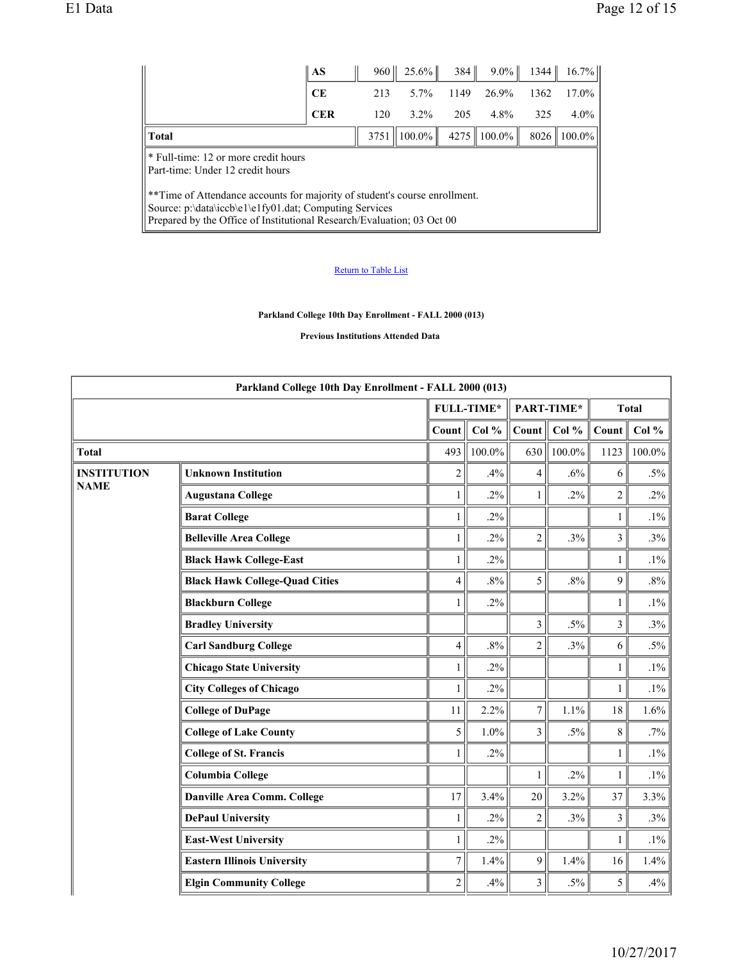|                                                                                                                                                                                                                | $\overline{\mathbf{A}}$ | 960  | $25.6\%$  | 384  | $9.0\%$         | 1344 | $16.7\%$        |  |
|----------------------------------------------------------------------------------------------------------------------------------------------------------------------------------------------------------------|-------------------------|------|-----------|------|-----------------|------|-----------------|--|
|                                                                                                                                                                                                                | <b>CE</b>               | 213  | $5.7\%$   | 1149 | 26.9%           | 1362 | $17.0\%$        |  |
|                                                                                                                                                                                                                | <b>CER</b>              | 120  | $3.2\%$   | 205  | $4.8\%$         | 325  | $4.0\%$         |  |
| <b>Total</b>                                                                                                                                                                                                   |                         | 3751 | $100.0\%$ |      | $4275$   100.0% |      | $8026$   100.0% |  |
| * Full-time: 12 or more credit hours<br>Part-time: Under 12 credit hours                                                                                                                                       |                         |      |           |      |                 |      |                 |  |
| **Time of Attendance accounts for majority of student's course enrollment.<br>Source: p:\data\iccb\e1\e1fy01.dat; Computing Services<br>Prepared by the Office of Institutional Research/Evaluation; 03 Oct 00 |                         |      |           |      |                 |      |                 |  |

## Return to Table List

**Parkland College 10th Day Enrollment - FALL 2000 (013)**

**Previous Institutions Attended Data** 

| Parkland College 10th Day Enrollment - FALL 2000 (013) |                                       |                         |                   |                         |            |                |              |
|--------------------------------------------------------|---------------------------------------|-------------------------|-------------------|-------------------------|------------|----------------|--------------|
|                                                        |                                       |                         | <b>FULL-TIME*</b> |                         | PART-TIME* |                | <b>Total</b> |
|                                                        |                                       | Count                   | Col $%$           | Count                   | Col %      | Count          | Col $%$      |
| <b>Total</b>                                           |                                       | 493                     | $100.0\%$         | 630                     | $100.0\%$  | 1123           | 100.0%       |
| <b>INSTITUTION</b>                                     | <b>Unknown Institution</b>            | $\overline{c}$          | .4%               | 4                       | $.6\%$     | 6              | $.5\%$       |
| <b>NAME</b>                                            | <b>Augustana College</b>              | $\mathbf{1}$            | $.2\%$            | $\mathbf{1}$            | $.2\%$     | $\overline{2}$ | $.2\%$       |
|                                                        | <b>Barat College</b>                  | 1                       | $.2\%$            |                         |            | $\mathbf{1}$   | $.1\%$       |
|                                                        | <b>Belleville Area College</b>        | 1                       | $.2\%$            | $\overline{c}$          | .3%        | 3              | .3%          |
|                                                        | <b>Black Hawk College-East</b>        | $\mathbf{1}$            | $.2\%$            |                         |            | $\mathbf{1}$   | $.1\%$       |
|                                                        | <b>Black Hawk College-Quad Cities</b> | $\overline{\mathbf{4}}$ | $.8\%$            | 5                       | $.8\%$     | 9              | $.8\%$       |
|                                                        | <b>Blackburn College</b>              | 1                       | $.2\%$            |                         |            | $\mathbf{1}$   | $.1\%$       |
|                                                        | <b>Bradley University</b>             |                         |                   | 3                       | $.5\%$     | $\mathfrak{Z}$ | .3%          |
|                                                        | <b>Carl Sandburg College</b>          | $\overline{4}$          | $.8\%$            | $\overline{c}$          | .3%        | 6              | $.5\%$       |
|                                                        | <b>Chicago State University</b>       | $\mathbf{1}$            | $.2\%$            |                         |            | $\mathbf{1}$   | $.1\%$       |
|                                                        | <b>City Colleges of Chicago</b>       | 1                       | $.2\%$            |                         |            | 1              | $.1\%$       |
|                                                        | <b>College of DuPage</b>              | 11                      | 2.2%              | $\tau$                  | 1.1%       | 18             | 1.6%         |
|                                                        | <b>College of Lake County</b>         | 5                       | $1.0\%$           | $\overline{3}$          | $.5\%$     | 8              | .7%          |
|                                                        | <b>College of St. Francis</b>         | 1                       | $.2\%$            |                         |            | 1              | $.1\%$       |
|                                                        | <b>Columbia College</b>               |                         |                   | $\mathbf{1}$            | $.2\%$     | $\mathbf{1}$   | $.1\%$       |
|                                                        | Danville Area Comm. College           | 17                      | 3.4%              | 20                      | 3.2%       | 37             | 3.3%         |
|                                                        | <b>DePaul University</b>              | 1                       | $.2\%$            | $\overline{2}$          | .3%        | 3              | .3%          |
|                                                        | <b>East-West University</b>           | 1                       | $.2\%$            |                         |            | $\mathbf{1}$   | $.1\%$       |
|                                                        | <b>Eastern Illinois University</b>    | $\overline{7}$          | 1.4%              | 9                       | 1.4%       | 16             | 1.4%         |
|                                                        | <b>Elgin Community College</b>        | $\overline{c}$          | .4%               | $\overline{\mathbf{3}}$ | $.5\%$     | 5              | .4%          |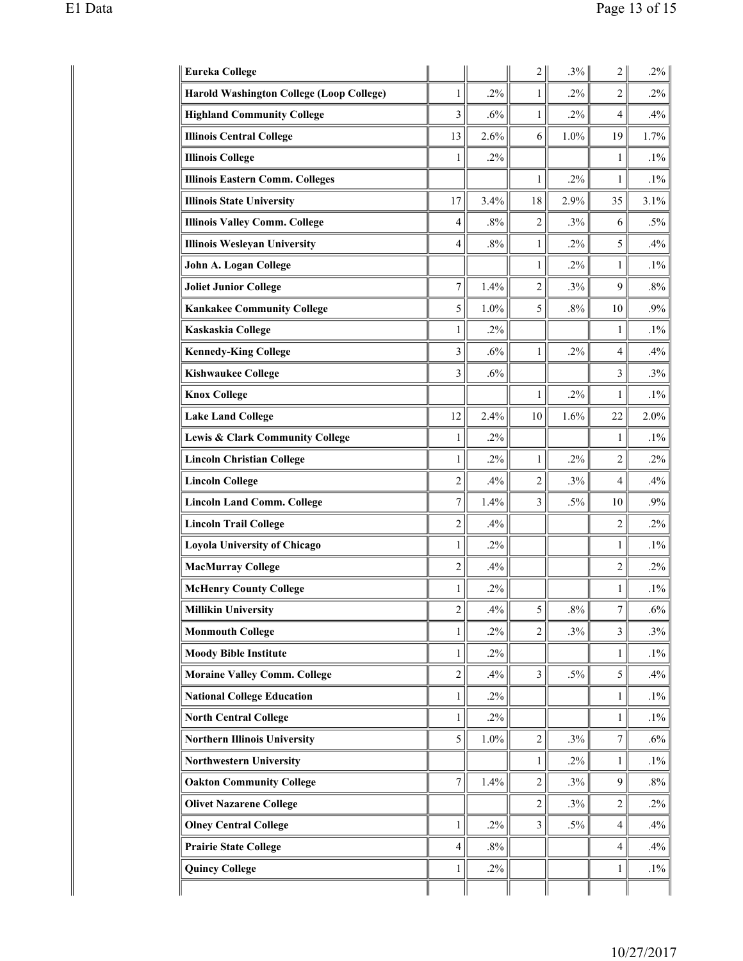| <b>Eureka College</b>                           |                |        | 2              | $.3\%$ | $\overline{2}$   | $.2\%$ |
|-------------------------------------------------|----------------|--------|----------------|--------|------------------|--------|
| <b>Harold Washington College (Loop College)</b> | 1              | .2%    | 1              | $.2\%$ | $\overline{2}$   | $.2\%$ |
| <b>Highland Community College</b>               | 3              | .6%    | 1              | $.2\%$ | 4                | .4%    |
| <b>Illinois Central College</b>                 | 13             | 2.6%   | 6              | 1.0%   | 19               | 1.7%   |
| <b>Illinois College</b>                         | 1              | $.2\%$ |                |        | 1                | $.1\%$ |
| <b>Illinois Eastern Comm. Colleges</b>          |                |        | 1              | $.2\%$ | 1                | $.1\%$ |
| <b>Illinois State University</b>                | 17             | 3.4%   | 18             | 2.9%   | 35               | 3.1%   |
| <b>Illinois Valley Comm. College</b>            | 4              | $.8\%$ | 2              | .3%    | 6                | $.5\%$ |
| <b>Illinois Wesleyan University</b>             | 4              | $.8\%$ | 1              | $.2\%$ | 5                | .4%    |
| John A. Logan College                           |                |        | 1              | $.2\%$ | 1                | $.1\%$ |
| <b>Joliet Junior College</b>                    | $\tau$         | 1.4%   | $\overline{2}$ | .3%    | 9                | $.8\%$ |
| <b>Kankakee Community College</b>               | 5              | 1.0%   | 5              | $.8\%$ | 10               | .9%    |
| Kaskaskia College                               | $\mathbf{1}$   | .2%    |                |        | 1                | $.1\%$ |
| <b>Kennedy-King College</b>                     | $\overline{3}$ | .6%    | $\mathbf{1}$   | $.2\%$ | $\overline{4}$   | .4%    |
| <b>Kishwaukee College</b>                       | 3              | .6%    |                |        | 3                | .3%    |
| <b>Knox College</b>                             |                |        | $\mathbf{1}$   | $.2\%$ | $\mathbf{1}$     | $.1\%$ |
| <b>Lake Land College</b>                        | 12             | 2.4%   | 10             | 1.6%   | 22               | 2.0%   |
| Lewis & Clark Community College                 | $\mathbf{1}$   | $.2\%$ |                |        | $\mathbf{1}$     | $.1\%$ |
| <b>Lincoln Christian College</b>                | $\mathbf{1}$   | $.2\%$ | $\mathbf{1}$   | $.2\%$ | $\overline{2}$   | $.2\%$ |
| <b>Lincoln College</b>                          | $\overline{2}$ | .4%    | $\overline{2}$ | .3%    | 4                | .4%    |
| <b>Lincoln Land Comm. College</b>               | $\tau$         | 1.4%   | 3              | $.5\%$ | 10               | .9%    |
| <b>Lincoln Trail College</b>                    | $\overline{2}$ | .4%    |                |        | $\overline{2}$   | $.2\%$ |
| <b>Loyola University of Chicago</b>             | 1              | $.2\%$ |                |        | 1                | $.1\%$ |
| <b>MacMurray College</b>                        | $\overline{c}$ | .4%    |                |        | $\overline{c}$   | $.2\%$ |
| <b>McHenry County College</b>                   | 1              | .2%    |                |        | 1                | $.1\%$ |
| <b>Millikin University</b>                      | $\overline{c}$ | .4%    | 5              | $.8\%$ | $\boldsymbol{7}$ | $.6\%$ |
| <b>Monmouth College</b>                         | 1              | $.2\%$ | $\overline{2}$ | .3%    | 3                | .3%    |
| <b>Moody Bible Institute</b>                    | $\mathbf{1}$   | $.2\%$ |                |        | $\mathbf{1}$     | $.1\%$ |
| <b>Moraine Valley Comm. College</b>             | $\overline{c}$ | .4%    | $\mathfrak{Z}$ | $.5\%$ | 5                | .4%    |
| <b>National College Education</b>               | $\mathbf{1}$   | $.2\%$ |                |        | $\mathbf{1}$     | $.1\%$ |
| <b>North Central College</b>                    | $\mathbf{1}$   | $.2\%$ |                |        | $\mathbf{1}$     | $.1\%$ |
| <b>Northern Illinois University</b>             | 5              | 1.0%   | $\overline{2}$ | .3%    | $\tau$           | $.6\%$ |
| <b>Northwestern University</b>                  |                |        | 1              | $.2\%$ | 1                | $.1\%$ |
| <b>Oakton Community College</b>                 | $\tau$         | 1.4%   | $\overline{2}$ | .3%    | 9                | .8%    |
| <b>Olivet Nazarene College</b>                  |                |        | $\overline{2}$ | .3%    | 2                | $.2\%$ |
| <b>Olney Central College</b>                    | $\mathbf{1}$   | $.2\%$ | $\mathfrak{Z}$ | $.5\%$ | 4                | .4%    |
| <b>Prairie State College</b>                    | $\overline{4}$ | $.8\%$ |                |        | $\overline{4}$   | .4%    |
| <b>Quincy College</b>                           | $\mathbf{1}$   | $.2\%$ |                |        | $\mathbf{1}$     | $.1\%$ |
|                                                 |                |        |                |        |                  |        |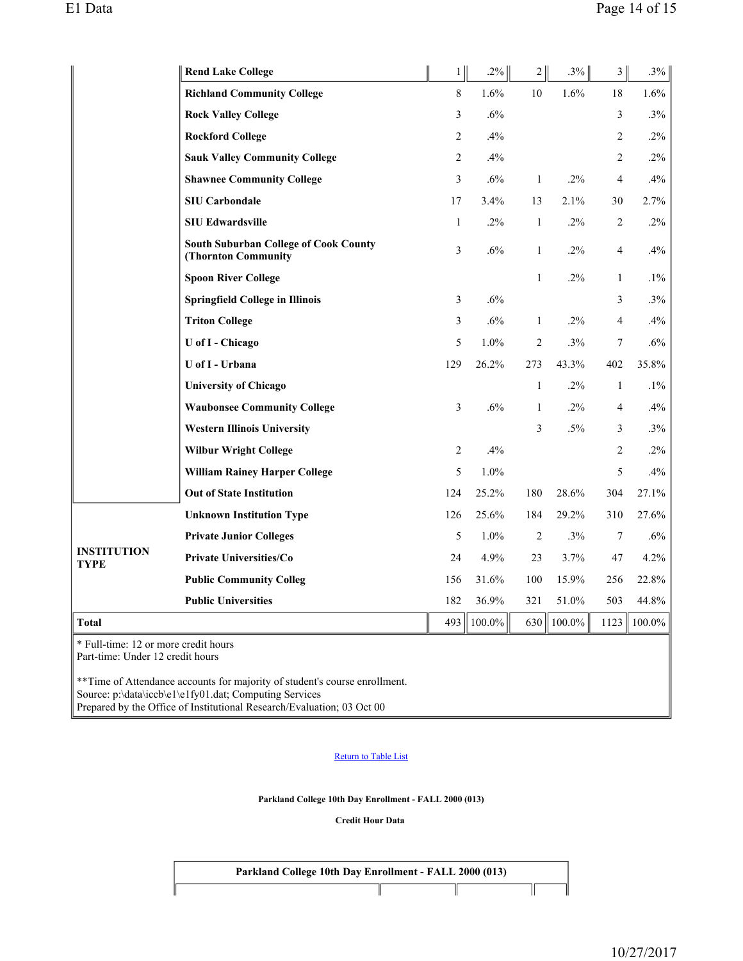|                                      | <b>Rend Lake College</b>                                            | $1\vert$       | $.2\%$    | 2              | $.3\%$    | $\mathfrak{Z}$ | .3%       |
|--------------------------------------|---------------------------------------------------------------------|----------------|-----------|----------------|-----------|----------------|-----------|
|                                      | <b>Richland Community College</b>                                   | $\,8\,$        | 1.6%      | 10             | 1.6%      | $18\,$         | 1.6%      |
|                                      | <b>Rock Valley College</b>                                          | 3              | .6%       |                |           | 3              | .3%       |
|                                      | <b>Rockford College</b>                                             | $\overline{2}$ | .4%       |                |           | 2              | $.2\%$    |
|                                      | <b>Sauk Valley Community College</b>                                | $\overline{2}$ | .4%       |                |           | $\overline{c}$ | .2%       |
|                                      | <b>Shawnee Community College</b>                                    | 3              | .6%       | $\mathbf{1}$   | $.2\%$    | 4              | .4%       |
|                                      | <b>SIU Carbondale</b>                                               | 17             | 3.4%      | 13             | 2.1%      | 30             | 2.7%      |
|                                      | <b>SIU Edwardsville</b>                                             | $\mathbf{1}$   | $.2\%$    | $\mathbf{1}$   | .2%       | 2              | .2%       |
|                                      | <b>South Suburban College of Cook County</b><br>(Thornton Community | 3              | .6%       | $\mathbf{1}$   | .2%       | 4              | .4%       |
|                                      | <b>Spoon River College</b>                                          |                |           | $\mathbf{1}$   | $.2\%$    | $\mathbf{1}$   | $.1\%$    |
|                                      | <b>Springfield College in Illinois</b>                              | $\mathfrak{Z}$ | .6%       |                |           | 3              | .3%       |
|                                      | <b>Triton College</b>                                               | 3              | .6%       | $\mathbf{1}$   | $.2\%$    | 4              | .4%       |
|                                      | U of I - Chicago                                                    | 5              | 1.0%      | $\overline{2}$ | .3%       | 7              | .6%       |
|                                      | U of I - Urbana                                                     | 129            | 26.2%     | 273            | 43.3%     | 402            | 35.8%     |
|                                      | <b>University of Chicago</b>                                        |                |           | $\mathbf{1}$   | $.2\%$    | $\mathbf{1}$   | $.1\%$    |
|                                      | <b>Waubonsee Community College</b>                                  | 3              | .6%       | $\mathbf{1}$   | $.2\%$    | 4              | .4%       |
|                                      | <b>Western Illinois University</b>                                  |                |           | 3              | $.5\%$    | 3              | .3%       |
|                                      | <b>Wilbur Wright College</b>                                        | $\overline{2}$ | .4%       |                |           | $\overline{c}$ | $.2\%$    |
|                                      | <b>William Rainey Harper College</b>                                | 5              | 1.0%      |                |           | 5              | .4%       |
|                                      | <b>Out of State Institution</b>                                     | 124            | 25.2%     | 180            | 28.6%     | 304            | 27.1%     |
|                                      | <b>Unknown Institution Type</b>                                     | 126            | 25.6%     | 184            | 29.2%     | 310            | 27.6%     |
|                                      | <b>Private Junior Colleges</b>                                      | 5              | 1.0%      | $\overline{2}$ | .3%       | $\tau$         | .6%       |
| <b>INSTITUTION</b><br><b>TYPE</b>    | <b>Private Universities/Co</b>                                      | 24             | 4.9%      | 23             | 3.7%      | 47             | 4.2%      |
|                                      | <b>Public Community Colleg</b>                                      | 156            | 31.6%     | 100            | 15.9%     | 256            | 22.8%     |
|                                      | <b>Public Universities</b>                                          | 182            | 36.9%     | 321            | 51.0%     | 503            | 44.8%     |
| <b>Total</b>                         |                                                                     | 493            | $100.0\%$ | 630            | $100.0\%$ | 1123           | $100.0\%$ |
| * Eull time: 12 or more credit hours |                                                                     |                |           |                |           |                |           |

Full-time: 12 or more credit hours Part-time: Under 12 credit hours

\*\*Time of Attendance accounts for majority of student's course enrollment. Source: p:\data\iccb\e1\e1fy01.dat; Computing Services Prepared by the Office of Institutional Research/Evaluation; 03 Oct 00

### Return to Table List

**Parkland College 10th Day Enrollment - FALL 2000 (013)**

**Credit Hour Data**